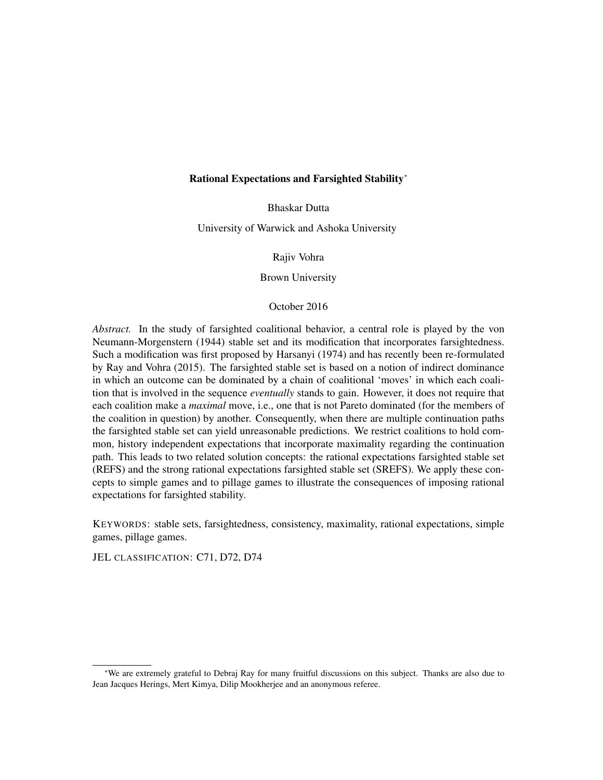# Rational Expectations and Farsighted Stability<sup>∗</sup>

Bhaskar Dutta

University of Warwick and Ashoka University

Rajiv Vohra

Brown University

# October 2016

*Abstract.* In the study of farsighted coalitional behavior, a central role is played by the von Neumann-Morgenstern (1944) stable set and its modification that incorporates farsightedness. Such a modification was first proposed by Harsanyi (1974) and has recently been re-formulated by Ray and Vohra (2015). The farsighted stable set is based on a notion of indirect dominance in which an outcome can be dominated by a chain of coalitional 'moves' in which each coalition that is involved in the sequence *eventually* stands to gain. However, it does not require that each coalition make a *maximal* move, i.e., one that is not Pareto dominated (for the members of the coalition in question) by another. Consequently, when there are multiple continuation paths the farsighted stable set can yield unreasonable predictions. We restrict coalitions to hold common, history independent expectations that incorporate maximality regarding the continuation path. This leads to two related solution concepts: the rational expectations farsighted stable set (REFS) and the strong rational expectations farsighted stable set (SREFS). We apply these concepts to simple games and to pillage games to illustrate the consequences of imposing rational expectations for farsighted stability.

KEYWORDS: stable sets, farsightedness, consistency, maximality, rational expectations, simple games, pillage games.

JEL CLASSIFICATION: C71, D72, D74

<sup>∗</sup>We are extremely grateful to Debraj Ray for many fruitful discussions on this subject. Thanks are also due to Jean Jacques Herings, Mert Kimya, Dilip Mookherjee and an anonymous referee.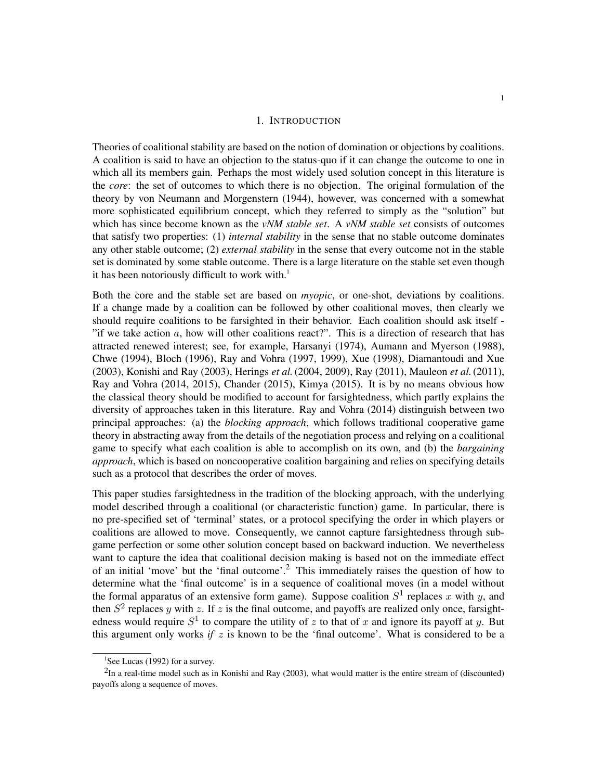### 1. INTRODUCTION

Theories of coalitional stability are based on the notion of domination or objections by coalitions. A coalition is said to have an objection to the status-quo if it can change the outcome to one in which all its members gain. Perhaps the most widely used solution concept in this literature is the *core*: the set of outcomes to which there is no objection. The original formulation of the theory by von Neumann and Morgenstern (1944), however, was concerned with a somewhat more sophisticated equilibrium concept, which they referred to simply as the "solution" but which has since become known as the *vNM stable set*. A *vNM stable set* consists of outcomes that satisfy two properties: (1) *internal stability* in the sense that no stable outcome dominates any other stable outcome; (2) *external stability* in the sense that every outcome not in the stable set is dominated by some stable outcome. There is a large literature on the stable set even though it has been notoriously difficult to work with. $<sup>1</sup>$ </sup>

Both the core and the stable set are based on *myopic*, or one-shot, deviations by coalitions. If a change made by a coalition can be followed by other coalitional moves, then clearly we should require coalitions to be farsighted in their behavior. Each coalition should ask itself - "if we take action  $a$ , how will other coalitions react?". This is a direction of research that has attracted renewed interest; see, for example, Harsanyi (1974), Aumann and Myerson (1988), Chwe (1994), Bloch (1996), Ray and Vohra (1997, 1999), Xue (1998), Diamantoudi and Xue (2003), Konishi and Ray (2003), Herings *et al.*(2004, 2009), Ray (2011), Mauleon *et al.*(2011), Ray and Vohra (2014, 2015), Chander (2015), Kimya (2015). It is by no means obvious how the classical theory should be modified to account for farsightedness, which partly explains the diversity of approaches taken in this literature. Ray and Vohra (2014) distinguish between two principal approaches: (a) the *blocking approach*, which follows traditional cooperative game theory in abstracting away from the details of the negotiation process and relying on a coalitional game to specify what each coalition is able to accomplish on its own, and (b) the *bargaining approach*, which is based on noncooperative coalition bargaining and relies on specifying details such as a protocol that describes the order of moves.

This paper studies farsightedness in the tradition of the blocking approach, with the underlying model described through a coalitional (or characteristic function) game. In particular, there is no pre-specified set of 'terminal' states, or a protocol specifying the order in which players or coalitions are allowed to move. Consequently, we cannot capture farsightedness through subgame perfection or some other solution concept based on backward induction. We nevertheless want to capture the idea that coalitional decision making is based not on the immediate effect of an initial 'move' but the 'final outcome'.<sup>2</sup> This immediately raises the question of how to determine what the 'final outcome' is in a sequence of coalitional moves (in a model without the formal apparatus of an extensive form game). Suppose coalition  $S^1$  replaces x with y, and then  $S<sup>2</sup>$  replaces y with z. If z is the final outcome, and payoffs are realized only once, farsightedness would require  $S^1$  to compare the utility of z to that of x and ignore its payoff at y. But this argument only works *if* z is known to be the 'final outcome'. What is considered to be a

<sup>&</sup>lt;sup>1</sup>See Lucas (1992) for a survey.

 $2$ In a real-time model such as in Konishi and Ray (2003), what would matter is the entire stream of (discounted) payoffs along a sequence of moves.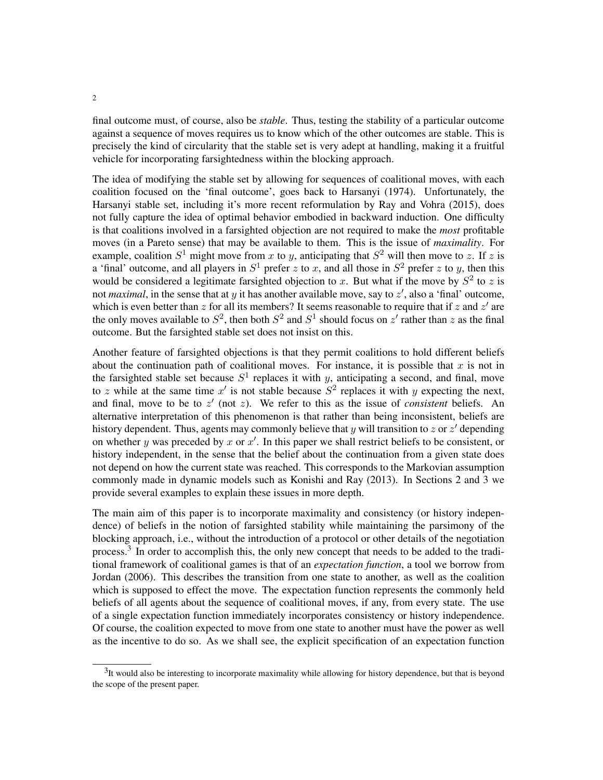final outcome must, of course, also be *stable*. Thus, testing the stability of a particular outcome against a sequence of moves requires us to know which of the other outcomes are stable. This is precisely the kind of circularity that the stable set is very adept at handling, making it a fruitful vehicle for incorporating farsightedness within the blocking approach.

The idea of modifying the stable set by allowing for sequences of coalitional moves, with each coalition focused on the 'final outcome', goes back to Harsanyi (1974). Unfortunately, the Harsanyi stable set, including it's more recent reformulation by Ray and Vohra (2015), does not fully capture the idea of optimal behavior embodied in backward induction. One difficulty is that coalitions involved in a farsighted objection are not required to make the *most* profitable moves (in a Pareto sense) that may be available to them. This is the issue of *maximality*. For example, coalition  $S^1$  might move from x to y, anticipating that  $S^2$  will then move to z. If z is a 'final' outcome, and all players in  $S^1$  prefer z to x, and all those in  $S^2$  prefer z to y, then this would be considered a legitimate farsighted objection to x. But what if the move by  $S^2$  to z is not *maximal*, in the sense that at y it has another available move, say to  $z'$ , also a 'final' outcome, which is even better than z for all its members? It seems reasonable to require that if z and  $z'$  are the only moves available to  $S^2$ , then both  $S^2$  and  $S^1$  should focus on  $z'$  rather than  $z$  as the final outcome. But the farsighted stable set does not insist on this.

Another feature of farsighted objections is that they permit coalitions to hold different beliefs about the continuation path of coalitional moves. For instance, it is possible that  $x$  is not in the farsighted stable set because  $S^1$  replaces it with y, anticipating a second, and final, move to z while at the same time  $x'$  is not stable because  $S^2$  replaces it with y expecting the next, and final, move to be to  $z'$  (not  $z$ ). We refer to this as the issue of *consistent* beliefs. An alternative interpretation of this phenomenon is that rather than being inconsistent, beliefs are history dependent. Thus, agents may commonly believe that y will transition to z or  $z'$  depending on whether y was preceded by x or  $x'$ . In this paper we shall restrict beliefs to be consistent, or history independent, in the sense that the belief about the continuation from a given state does not depend on how the current state was reached. This corresponds to the Markovian assumption commonly made in dynamic models such as Konishi and Ray (2013). In Sections 2 and 3 we provide several examples to explain these issues in more depth.

The main aim of this paper is to incorporate maximality and consistency (or history independence) of beliefs in the notion of farsighted stability while maintaining the parsimony of the blocking approach, i.e., without the introduction of a protocol or other details of the negotiation process.<sup>3</sup> In order to accomplish this, the only new concept that needs to be added to the traditional framework of coalitional games is that of an *expectation function*, a tool we borrow from Jordan (2006). This describes the transition from one state to another, as well as the coalition which is supposed to effect the move. The expectation function represents the commonly held beliefs of all agents about the sequence of coalitional moves, if any, from every state. The use of a single expectation function immediately incorporates consistency or history independence. Of course, the coalition expected to move from one state to another must have the power as well as the incentive to do so. As we shall see, the explicit specification of an expectation function

 $3$ It would also be interesting to incorporate maximality while allowing for history dependence, but that is beyond the scope of the present paper.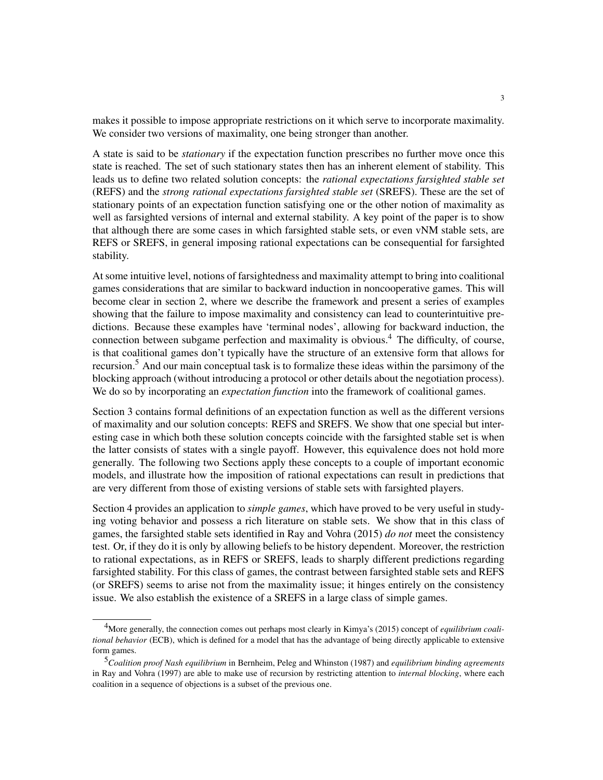makes it possible to impose appropriate restrictions on it which serve to incorporate maximality. We consider two versions of maximality, one being stronger than another.

A state is said to be *stationary* if the expectation function prescribes no further move once this state is reached. The set of such stationary states then has an inherent element of stability. This leads us to define two related solution concepts: the *rational expectations farsighted stable set* (REFS) and the *strong rational expectations farsighted stable set* (SREFS). These are the set of stationary points of an expectation function satisfying one or the other notion of maximality as well as farsighted versions of internal and external stability. A key point of the paper is to show that although there are some cases in which farsighted stable sets, or even vNM stable sets, are REFS or SREFS, in general imposing rational expectations can be consequential for farsighted stability.

At some intuitive level, notions of farsightedness and maximality attempt to bring into coalitional games considerations that are similar to backward induction in noncooperative games. This will become clear in section 2, where we describe the framework and present a series of examples showing that the failure to impose maximality and consistency can lead to counterintuitive predictions. Because these examples have 'terminal nodes', allowing for backward induction, the connection between subgame perfection and maximality is obvious.<sup>4</sup> The difficulty, of course, is that coalitional games don't typically have the structure of an extensive form that allows for recursion.<sup>5</sup> And our main conceptual task is to formalize these ideas within the parsimony of the blocking approach (without introducing a protocol or other details about the negotiation process). We do so by incorporating an *expectation function* into the framework of coalitional games.

Section 3 contains formal definitions of an expectation function as well as the different versions of maximality and our solution concepts: REFS and SREFS. We show that one special but interesting case in which both these solution concepts coincide with the farsighted stable set is when the latter consists of states with a single payoff. However, this equivalence does not hold more generally. The following two Sections apply these concepts to a couple of important economic models, and illustrate how the imposition of rational expectations can result in predictions that are very different from those of existing versions of stable sets with farsighted players.

Section 4 provides an application to *simple games*, which have proved to be very useful in studying voting behavior and possess a rich literature on stable sets. We show that in this class of games, the farsighted stable sets identified in Ray and Vohra (2015) *do not* meet the consistency test. Or, if they do it is only by allowing beliefs to be history dependent. Moreover, the restriction to rational expectations, as in REFS or SREFS, leads to sharply different predictions regarding farsighted stability. For this class of games, the contrast between farsighted stable sets and REFS (or SREFS) seems to arise not from the maximality issue; it hinges entirely on the consistency issue. We also establish the existence of a SREFS in a large class of simple games.

<sup>4</sup>More generally, the connection comes out perhaps most clearly in Kimya's (2015) concept of *equilibrium coalitional behavior* (ECB), which is defined for a model that has the advantage of being directly applicable to extensive form games.

<sup>5</sup>*Coalition proof Nash equilibrium* in Bernheim, Peleg and Whinston (1987) and *equilibrium binding agreements* in Ray and Vohra (1997) are able to make use of recursion by restricting attention to *internal blocking*, where each coalition in a sequence of objections is a subset of the previous one.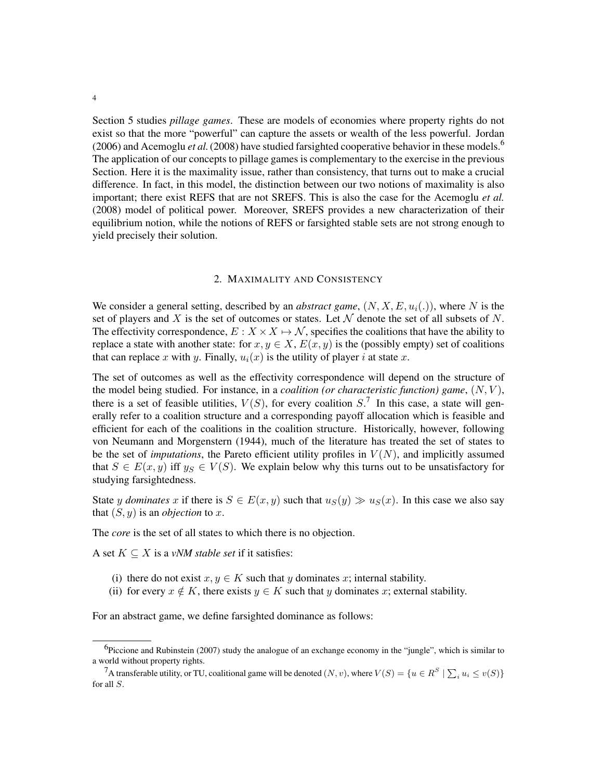Section 5 studies *pillage games*. These are models of economies where property rights do not exist so that the more "powerful" can capture the assets or wealth of the less powerful. Jordan (2006) and Acemoglu *et al.*(2008) have studied farsighted cooperative behavior in these models.<sup>6</sup> The application of our concepts to pillage games is complementary to the exercise in the previous Section. Here it is the maximality issue, rather than consistency, that turns out to make a crucial difference. In fact, in this model, the distinction between our two notions of maximality is also important; there exist REFS that are not SREFS. This is also the case for the Acemoglu *et al.* (2008) model of political power. Moreover, SREFS provides a new characterization of their equilibrium notion, while the notions of REFS or farsighted stable sets are not strong enough to yield precisely their solution.

# 2. MAXIMALITY AND CONSISTENCY

We consider a general setting, described by an *abstract game*,  $(N, X, E, u_i(.))$ , where N is the set of players and X is the set of outcomes or states. Let  $\mathcal N$  denote the set of all subsets of N. The effectivity correspondence,  $E: X \times X \mapsto \mathcal{N}$ , specifies the coalitions that have the ability to replace a state with another state: for  $x, y \in X$ ,  $E(x, y)$  is the (possibly empty) set of coalitions that can replace x with y. Finally,  $u_i(x)$  is the utility of player i at state x.

The set of outcomes as well as the effectivity correspondence will depend on the structure of the model being studied. For instance, in a *coalition (or characteristic function) game*, (N, V ), there is a set of feasible utilities,  $V(S)$ , for every coalition  $S<sup>7</sup>$ . In this case, a state will generally refer to a coalition structure and a corresponding payoff allocation which is feasible and efficient for each of the coalitions in the coalition structure. Historically, however, following von Neumann and Morgenstern (1944), much of the literature has treated the set of states to be the set of *imputations*, the Pareto efficient utility profiles in  $V(N)$ , and implicitly assumed that  $S \in E(x, y)$  iff  $y_S \in V(S)$ . We explain below why this turns out to be unsatisfactory for studying farsightedness.

State y *dominates* x if there is  $S \in E(x, y)$  such that  $u_S(y) \gg u_S(x)$ . In this case we also say that  $(S, y)$  is an *objection* to x.

The *core* is the set of all states to which there is no objection.

A set  $K \subset X$  is a *vNM stable set* if it satisfies:

- (i) there do not exist  $x, y \in K$  such that y dominates x; internal stability.
- (ii) for every  $x \notin K$ , there exists  $y \in K$  such that y dominates x; external stability.

For an abstract game, we define farsighted dominance as follows:

<sup>&</sup>lt;sup>6</sup>Piccione and Rubinstein (2007) study the analogue of an exchange economy in the "jungle", which is similar to a world without property rights.

<sup>&</sup>lt;sup>7</sup>A transferable utility, or TU, coalitional game will be denoted  $(N, v)$ , where  $V(S) = \{u \in R^S \mid \sum_i u_i \le v(S)\}$ for all S.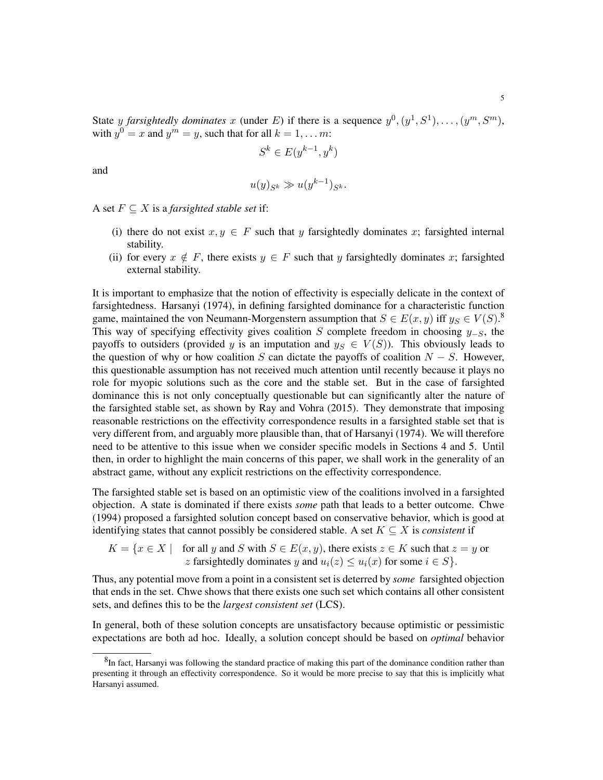State *y* farsightedly dominates x (under E) if there is a sequence  $y^0, (y^1, S^1), \ldots, (y^m, S^m)$ , with  $y^0 = x$  and  $y^m = y$ , such that for all  $k = 1, \ldots m$ :

$$
S^k \in E(y^{k-1}, y^k)
$$

and

$$
u(y)_{S^k} \gg u(y^{k-1})_{S^k}.
$$

A set  $F \subset X$  is a *farsighted stable set* if:

- (i) there do not exist  $x, y \in F$  such that y farsightedly dominates x; farsighted internal stability.
- (ii) for every  $x \notin F$ , there exists  $y \in F$  such that y farsightedly dominates x; farsighted external stability.

It is important to emphasize that the notion of effectivity is especially delicate in the context of farsightedness. Harsanyi (1974), in defining farsighted dominance for a characteristic function game, maintained the von Neumann-Morgenstern assumption that  $S \in E(x, y)$  iff  $y_S \in V(S)$ . This way of specifying effectivity gives coalition S complete freedom in choosing  $y_{-S}$ , the payoffs to outsiders (provided y is an imputation and  $y_S \in V(S)$ ). This obviously leads to the question of why or how coalition S can dictate the payoffs of coalition  $N - S$ . However, this questionable assumption has not received much attention until recently because it plays no role for myopic solutions such as the core and the stable set. But in the case of farsighted dominance this is not only conceptually questionable but can significantly alter the nature of the farsighted stable set, as shown by Ray and Vohra (2015). They demonstrate that imposing reasonable restrictions on the effectivity correspondence results in a farsighted stable set that is very different from, and arguably more plausible than, that of Harsanyi (1974). We will therefore need to be attentive to this issue when we consider specific models in Sections 4 and 5. Until then, in order to highlight the main concerns of this paper, we shall work in the generality of an abstract game, without any explicit restrictions on the effectivity correspondence.

The farsighted stable set is based on an optimistic view of the coalitions involved in a farsighted objection. A state is dominated if there exists *some* path that leads to a better outcome. Chwe (1994) proposed a farsighted solution concept based on conservative behavior, which is good at identifying states that cannot possibly be considered stable. A set  $K \subseteq X$  is *consistent* if

 $K = \{x \in X \mid \text{ for all } y \text{ and } S \text{ with } S \in E(x, y), \text{ there exists } z \in K \text{ such that } z = y \text{ or }$ z farsightedly dominates y and  $u_i(z) \leq u_i(x)$  for some  $i \in S$ .

Thus, any potential move from a point in a consistent set is deterred by *some* farsighted objection that ends in the set. Chwe shows that there exists one such set which contains all other consistent sets, and defines this to be the *largest consistent set* (LCS).

In general, both of these solution concepts are unsatisfactory because optimistic or pessimistic expectations are both ad hoc. Ideally, a solution concept should be based on *optimal* behavior

 ${}^{8}$ In fact, Harsanyi was following the standard practice of making this part of the dominance condition rather than presenting it through an effectivity correspondence. So it would be more precise to say that this is implicitly what Harsanyi assumed.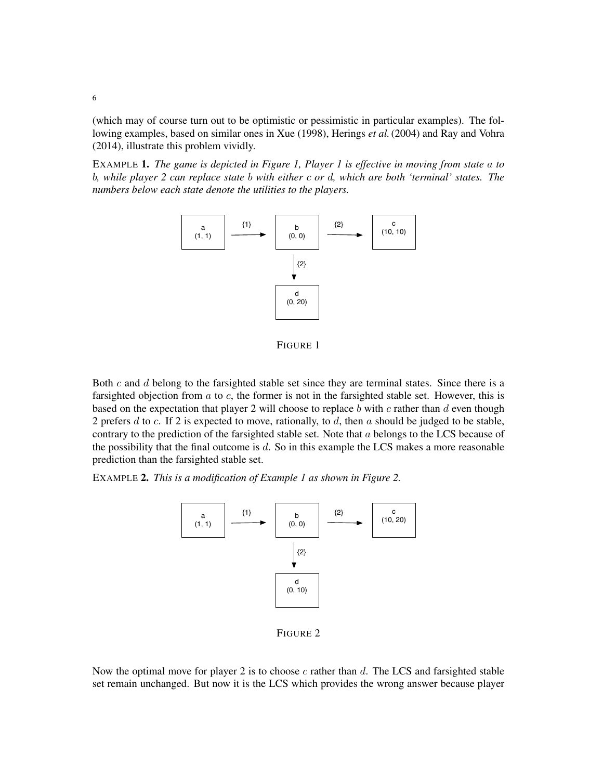(which may of course turn out to be optimistic or pessimistic in particular examples). The following examples, based on similar ones in Xue (1998), Herings *et al.*(2004) and Ray and Vohra (2014), illustrate this problem vividly.

EXAMPLE 1. *The game is depicted in Figure 1, Player 1 is effective in moving from state* a *to* b*, while player 2 can replace state* b *with either* c *or* d*, which are both 'terminal' states. The numbers below each state denote the utilities to the players.*



FIGURE 1

Both  $c$  and  $d$  belong to the farsighted stable set since they are terminal states. Since there is a farsighted objection from  $a$  to  $c$ , the former is not in the farsighted stable set. However, this is based on the expectation that player 2 will choose to replace b with c rather than d even though 2 prefers d to c. If 2 is expected to move, rationally, to d, then a should be judged to be stable, contrary to the prediction of the farsighted stable set. Note that a belongs to the LCS because of the possibility that the final outcome is  $d$ . So in this example the LCS makes a more reasonable prediction than the farsighted stable set.

EXAMPLE 2. *This is a modification of Example 1 as shown in Figure 2.*



FIGURE 2

Now the optimal move for player 2 is to choose  $c$  rather than  $d$ . The LCS and farsighted stable set remain unchanged. But now it is the LCS which provides the wrong answer because player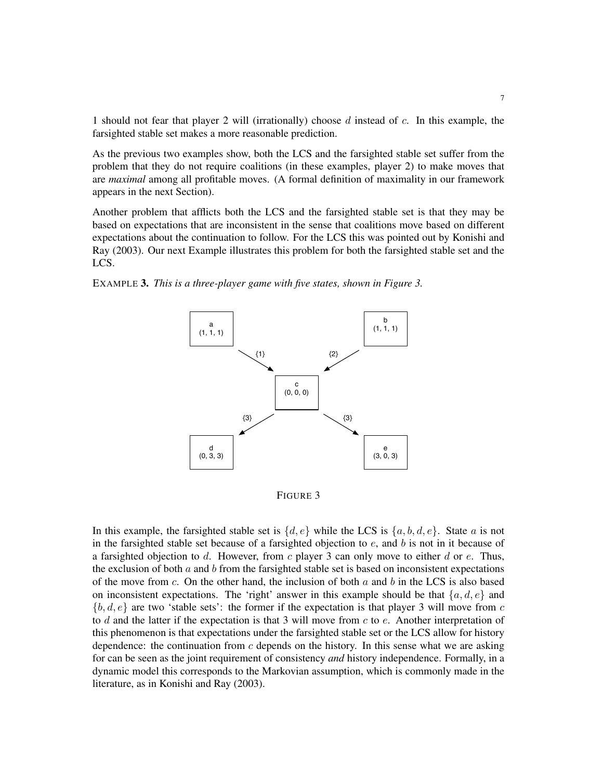1 should not fear that player 2 will (irrationally) choose  $d$  instead of  $c$ . In this example, the farsighted stable set makes a more reasonable prediction.

As the previous two examples show, both the LCS and the farsighted stable set suffer from the problem that they do not require coalitions (in these examples, player 2) to make moves that are *maximal* among all profitable moves. (A formal definition of maximality in our framework appears in the next Section).

Another problem that afflicts both the LCS and the farsighted stable set is that they may be based on expectations that are inconsistent in the sense that coalitions move based on different expectations about the continuation to follow. For the LCS this was pointed out by Konishi and Ray (2003). Our next Example illustrates this problem for both the farsighted stable set and the LCS.



EXAMPLE 3. *This is a three-player game with five states, shown in Figure 3.*

FIGURE 3

In this example, the farsighted stable set is  $\{d, e\}$  while the LCS is  $\{a, b, d, e\}$ . State a is not in the farsighted stable set because of a farsighted objection to  $e$ , and  $b$  is not in it because of a farsighted objection to d. However, from c player 3 can only move to either d or e. Thus, the exclusion of both  $a$  and  $b$  from the farsighted stable set is based on inconsistent expectations of the move from c. On the other hand, the inclusion of both  $a$  and  $b$  in the LCS is also based on inconsistent expectations. The 'right' answer in this example should be that  $\{a, d, e\}$  and  $\{b, d, e\}$  are two 'stable sets': the former if the expectation is that player 3 will move from c to  $d$  and the latter if the expectation is that 3 will move from  $c$  to  $e$ . Another interpretation of this phenomenon is that expectations under the farsighted stable set or the LCS allow for history dependence: the continuation from  $c$  depends on the history. In this sense what we are asking for can be seen as the joint requirement of consistency *and* history independence. Formally, in a dynamic model this corresponds to the Markovian assumption, which is commonly made in the literature, as in Konishi and Ray (2003).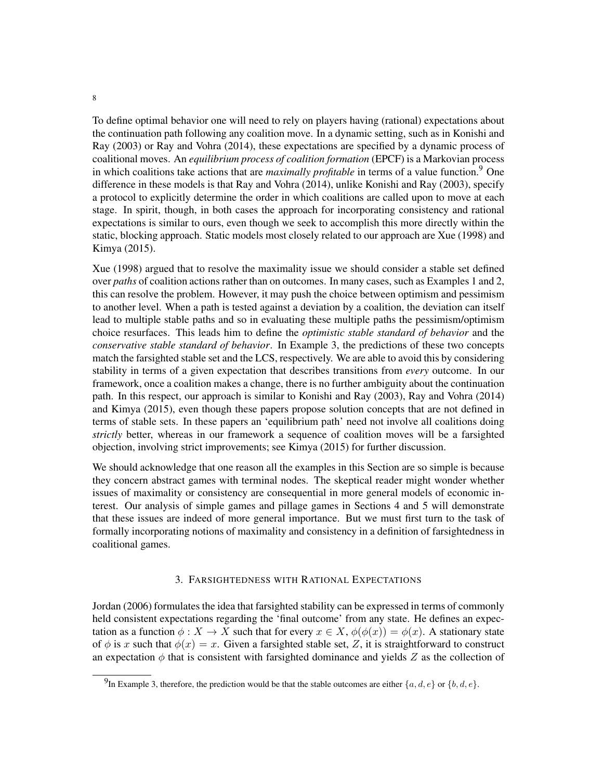To define optimal behavior one will need to rely on players having (rational) expectations about the continuation path following any coalition move. In a dynamic setting, such as in Konishi and Ray (2003) or Ray and Vohra (2014), these expectations are specified by a dynamic process of coalitional moves. An *equilibrium process of coalition formation* (EPCF) is a Markovian process in which coalitions take actions that are *maximally profitable* in terms of a value function.<sup>9</sup> One difference in these models is that Ray and Vohra (2014), unlike Konishi and Ray (2003), specify a protocol to explicitly determine the order in which coalitions are called upon to move at each stage. In spirit, though, in both cases the approach for incorporating consistency and rational expectations is similar to ours, even though we seek to accomplish this more directly within the static, blocking approach. Static models most closely related to our approach are Xue (1998) and Kimya (2015).

Xue (1998) argued that to resolve the maximality issue we should consider a stable set defined over *paths* of coalition actions rather than on outcomes. In many cases, such as Examples 1 and 2, this can resolve the problem. However, it may push the choice between optimism and pessimism to another level. When a path is tested against a deviation by a coalition, the deviation can itself lead to multiple stable paths and so in evaluating these multiple paths the pessimism/optimism choice resurfaces. This leads him to define the *optimistic stable standard of behavior* and the *conservative stable standard of behavior*. In Example 3, the predictions of these two concepts match the farsighted stable set and the LCS, respectively. We are able to avoid this by considering stability in terms of a given expectation that describes transitions from *every* outcome. In our framework, once a coalition makes a change, there is no further ambiguity about the continuation path. In this respect, our approach is similar to Konishi and Ray (2003), Ray and Vohra (2014) and Kimya (2015), even though these papers propose solution concepts that are not defined in terms of stable sets. In these papers an 'equilibrium path' need not involve all coalitions doing *strictly* better, whereas in our framework a sequence of coalition moves will be a farsighted objection, involving strict improvements; see Kimya (2015) for further discussion.

We should acknowledge that one reason all the examples in this Section are so simple is because they concern abstract games with terminal nodes. The skeptical reader might wonder whether issues of maximality or consistency are consequential in more general models of economic interest. Our analysis of simple games and pillage games in Sections 4 and 5 will demonstrate that these issues are indeed of more general importance. But we must first turn to the task of formally incorporating notions of maximality and consistency in a definition of farsightedness in coalitional games.

# 3. FARSIGHTEDNESS WITH RATIONAL EXPECTATIONS

Jordan (2006) formulates the idea that farsighted stability can be expressed in terms of commonly held consistent expectations regarding the 'final outcome' from any state. He defines an expectation as a function  $\phi: X \to X$  such that for every  $x \in X$ ,  $\phi(\phi(x)) = \phi(x)$ . A stationary state of  $\phi$  is x such that  $\phi(x) = x$ . Given a farsighted stable set, Z, it is straightforward to construct an expectation  $\phi$  that is consistent with farsighted dominance and yields Z as the collection of

<sup>&</sup>lt;sup>9</sup>In Example 3, therefore, the prediction would be that the stable outcomes are either  $\{a, d, e\}$  or  $\{b, d, e\}$ .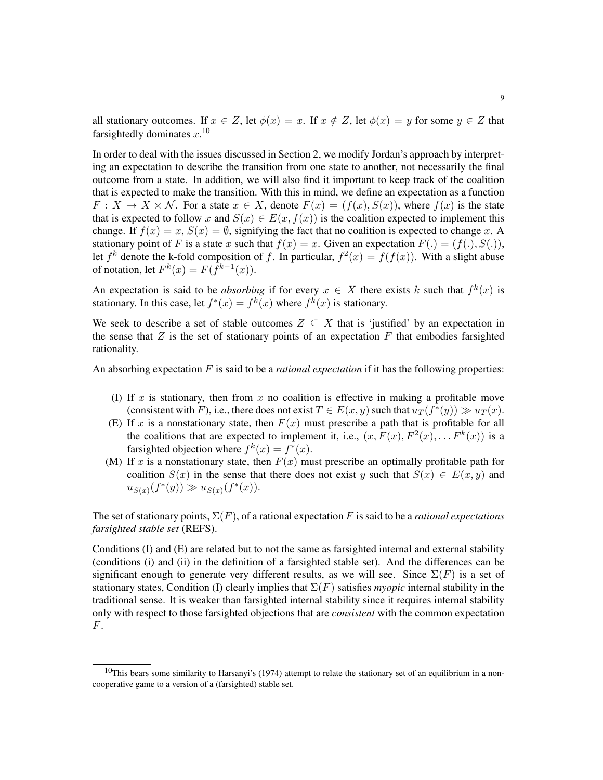all stationary outcomes. If  $x \in Z$ , let  $\phi(x) = x$ . If  $x \notin Z$ , let  $\phi(x) = y$  for some  $y \in Z$  that farsightedly dominates  $x$ .<sup>10</sup>

In order to deal with the issues discussed in Section 2, we modify Jordan's approach by interpreting an expectation to describe the transition from one state to another, not necessarily the final outcome from a state. In addition, we will also find it important to keep track of the coalition that is expected to make the transition. With this in mind, we define an expectation as a function  $F: X \to X \times N$ . For a state  $x \in X$ , denote  $F(x) = (f(x), S(x))$ , where  $f(x)$  is the state that is expected to follow x and  $S(x) \in E(x, f(x))$  is the coalition expected to implement this change. If  $f(x) = x$ ,  $S(x) = \emptyset$ , signifying the fact that no coalition is expected to change x. A stationary point of F is a state x such that  $f(x) = x$ . Given an expectation  $F(.) = (f(.), S(.)),$ let  $f^k$  denote the k-fold composition of f. In particular,  $f^2(x) = f(f(x))$ . With a slight abuse of notation, let  $F^k(x) = F(f^{k-1}(x)).$ 

An expectation is said to be *absorbing* if for every  $x \in X$  there exists k such that  $f^k(x)$  is stationary. In this case, let  $f^*(x) = f^k(x)$  where  $f^k(x)$  is stationary.

We seek to describe a set of stable outcomes  $Z \subseteq X$  that is 'justified' by an expectation in the sense that  $Z$  is the set of stationary points of an expectation  $F$  that embodies farsighted rationality.

An absorbing expectation F is said to be a *rational expectation* if it has the following properties:

- (I) If x is stationary, then from x no coalition is effective in making a profitable move (consistent with F), i.e., there does not exist  $T \in E(x, y)$  such that  $u_T(f^*(y)) \gg u_T(x)$ .
- (E) If x is a nonstationary state, then  $F(x)$  must prescribe a path that is profitable for all the coalitions that are expected to implement it, i.e.,  $(x, F(x), F^2(x), \dots F^k(x))$  is a farsighted objection where  $f^k(x) = f^*(x)$ .
- (M) If x is a nonstationary state, then  $F(x)$  must prescribe an optimally profitable path for coalition  $S(x)$  in the sense that there does not exist y such that  $S(x) \in E(x, y)$  and  $u_{S(x)}(f^*(y)) \gg u_{S(x)}(f^*(x)).$

The set of stationary points,  $\Sigma(F)$ , of a rational expectation F is said to be a *rational expectations farsighted stable set* (REFS).

Conditions (I) and (E) are related but to not the same as farsighted internal and external stability (conditions (i) and (ii) in the definition of a farsighted stable set). And the differences can be significant enough to generate very different results, as we will see. Since  $\Sigma(F)$  is a set of stationary states, Condition (I) clearly implies that  $\Sigma(F)$  satisfies *myopic* internal stability in the traditional sense. It is weaker than farsighted internal stability since it requires internal stability only with respect to those farsighted objections that are *consistent* with the common expectation  $F$ .

 $10$ This bears some similarity to Harsanyi's (1974) attempt to relate the stationary set of an equilibrium in a noncooperative game to a version of a (farsighted) stable set.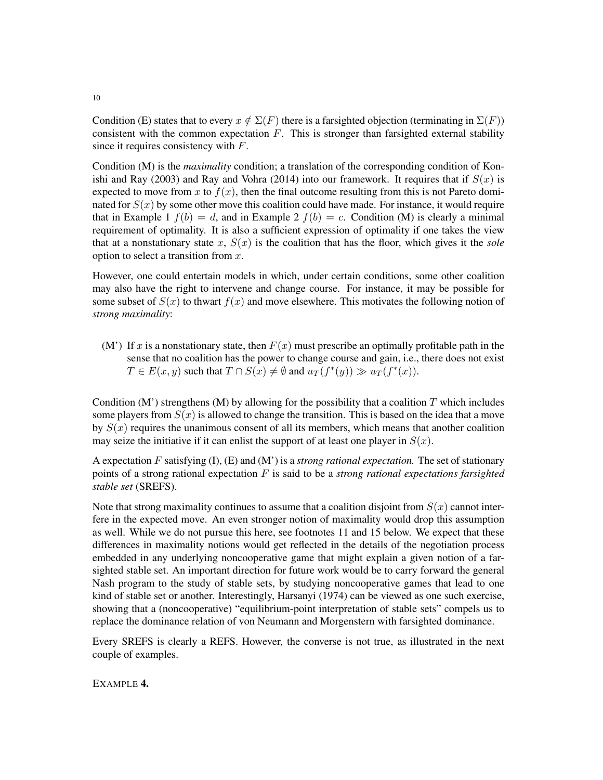Condition (E) states that to every  $x \notin \Sigma(F)$  there is a farsighted objection (terminating in  $\Sigma(F)$ ) consistent with the common expectation  $F$ . This is stronger than farsighted external stability since it requires consistency with F.

Condition (M) is the *maximality* condition; a translation of the corresponding condition of Konishi and Ray (2003) and Ray and Vohra (2014) into our framework. It requires that if  $S(x)$  is expected to move from x to  $f(x)$ , then the final outcome resulting from this is not Pareto dominated for  $S(x)$  by some other move this coalition could have made. For instance, it would require that in Example 1  $f(b) = d$ , and in Example 2  $f(b) = c$ . Condition (M) is clearly a minimal requirement of optimality. It is also a sufficient expression of optimality if one takes the view that at a nonstationary state x,  $S(x)$  is the coalition that has the floor, which gives it the *sole* option to select a transition from x.

However, one could entertain models in which, under certain conditions, some other coalition may also have the right to intervene and change course. For instance, it may be possible for some subset of  $S(x)$  to thwart  $f(x)$  and move elsewhere. This motivates the following notion of *strong maximality*:

(M') If x is a nonstationary state, then  $F(x)$  must prescribe an optimally profitable path in the sense that no coalition has the power to change course and gain, i.e., there does not exist  $T \in E(x, y)$  such that  $T \cap S(x) \neq \emptyset$  and  $u_T(f^*(y)) \gg u_T(f^*(x))$ .

Condition  $(M')$  strengthens  $(M)$  by allowing for the possibility that a coalition T which includes some players from  $S(x)$  is allowed to change the transition. This is based on the idea that a move by  $S(x)$  requires the unanimous consent of all its members, which means that another coalition may seize the initiative if it can enlist the support of at least one player in  $S(x)$ .

A expectation  $F$  satisfying  $(I)$ ,  $(E)$  and  $(M')$  is a *strong rational expectation*. The set of stationary points of a strong rational expectation F is said to be a *strong rational expectations farsighted stable set* (SREFS).

Note that strong maximality continues to assume that a coalition disjoint from  $S(x)$  cannot interfere in the expected move. An even stronger notion of maximality would drop this assumption as well. While we do not pursue this here, see footnotes 11 and 15 below. We expect that these differences in maximality notions would get reflected in the details of the negotiation process embedded in any underlying noncooperative game that might explain a given notion of a farsighted stable set. An important direction for future work would be to carry forward the general Nash program to the study of stable sets, by studying noncooperative games that lead to one kind of stable set or another. Interestingly, Harsanyi (1974) can be viewed as one such exercise, showing that a (noncooperative) "equilibrium-point interpretation of stable sets" compels us to replace the dominance relation of von Neumann and Morgenstern with farsighted dominance.

Every SREFS is clearly a REFS. However, the converse is not true, as illustrated in the next couple of examples.

EXAMPLE 4.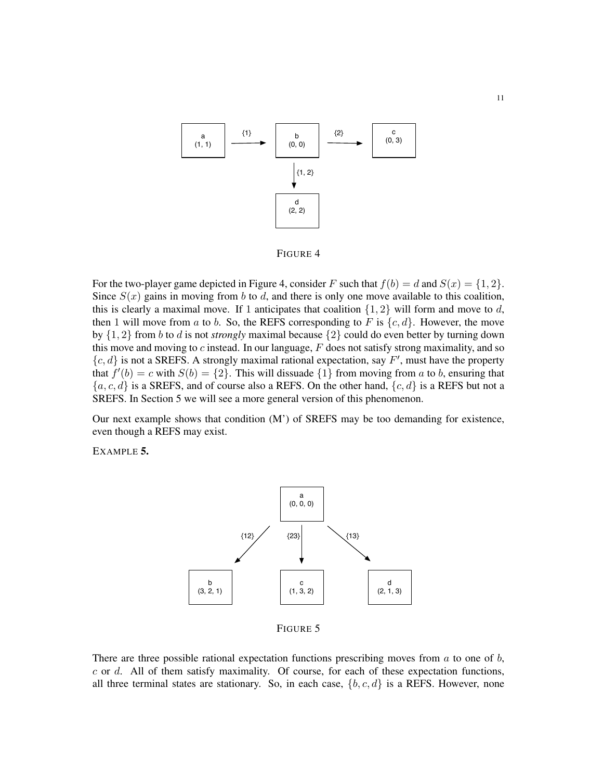

FIGURE 4

For the two-player game depicted in Figure 4, consider F such that  $f(b) = d$  and  $S(x) = \{1, 2\}$ . Since  $S(x)$  gains in moving from b to d, and there is only one move available to this coalition, this is clearly a maximal move. If 1 anticipates that coalition  $\{1, 2\}$  will form and move to d, then 1 will move from a to b. So, the REFS corresponding to F is  $\{c, d\}$ . However, the move by {1, 2} from b to d is not *strongly* maximal because {2} could do even better by turning down this move and moving to  $c$  instead. In our language,  $F$  does not satisfy strong maximality, and so  $\{c, d\}$  is not a SREFS. A strongly maximal rational expectation, say  $F'$ , must have the property that  $f'(b) = c$  with  $S(b) = \{2\}$ . This will dissuade  $\{1\}$  from moving from a to b, ensuring that  $\{a, c, d\}$  is a SREFS, and of course also a REFS. On the other hand,  $\{c, d\}$  is a REFS but not a SREFS. In Section 5 we will see a more general version of this phenomenon.

Our next example shows that condition  $(M')$  of SREFS may be too demanding for existence, even though a REFS may exist.

EXAMPLE 5.



FIGURE 5

There are three possible rational expectation functions prescribing moves from  $a$  to one of  $b$ ,  $c$  or  $d$ . All of them satisfy maximality. Of course, for each of these expectation functions, all three terminal states are stationary. So, in each case,  $\{b, c, d\}$  is a REFS. However, none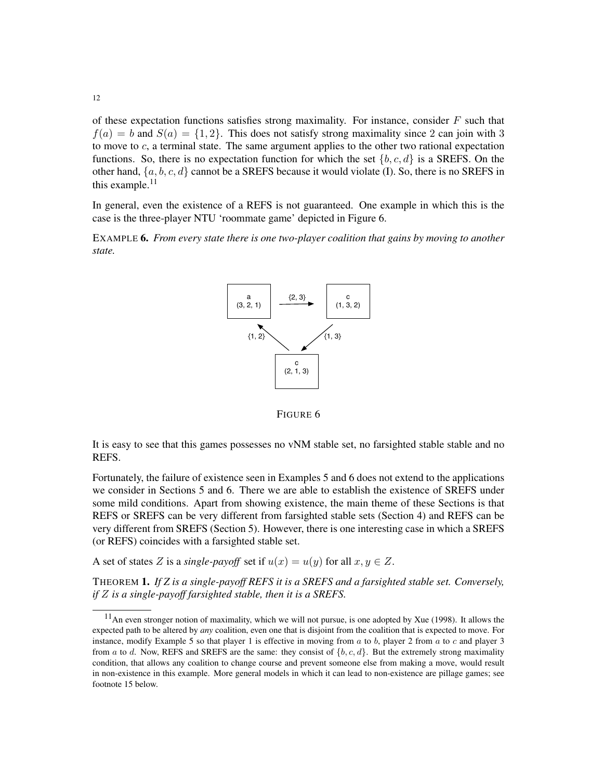of these expectation functions satisfies strong maximality. For instance, consider  $F$  such that  $f(a) = b$  and  $S(a) = \{1, 2\}$ . This does not satisfy strong maximality since 2 can join with 3 to move to  $c$ , a terminal state. The same argument applies to the other two rational expectation functions. So, there is no expectation function for which the set  $\{b, c, d\}$  is a SREFS. On the other hand,  $\{a, b, c, d\}$  cannot be a SREFS because it would violate (I). So, there is no SREFS in this example.<sup>11</sup>

In general, even the existence of a REFS is not guaranteed. One example in which this is the case is the three-player NTU 'roommate game' depicted in Figure 6.

EXAMPLE 6. *From every state there is one two-player coalition that gains by moving to another state.*



FIGURE 6

It is easy to see that this games possesses no vNM stable set, no farsighted stable stable and no REFS.

Fortunately, the failure of existence seen in Examples 5 and 6 does not extend to the applications we consider in Sections 5 and 6. There we are able to establish the existence of SREFS under some mild conditions. Apart from showing existence, the main theme of these Sections is that REFS or SREFS can be very different from farsighted stable sets (Section 4) and REFS can be very different from SREFS (Section 5). However, there is one interesting case in which a SREFS (or REFS) coincides with a farsighted stable set.

A set of states Z is a *single-payoff* set if  $u(x) = u(y)$  for all  $x, y \in Z$ .

THEOREM 1. *If Z is a single-payoff REFS it is a SREFS and a farsighted stable set. Conversely, if* Z *is a single-payoff farsighted stable, then it is a SREFS.*

12

 $11$ An even stronger notion of maximality, which we will not pursue, is one adopted by Xue (1998). It allows the expected path to be altered by *any* coalition, even one that is disjoint from the coalition that is expected to move. For instance, modify Example 5 so that player 1 is effective in moving from  $a$  to  $b$ , player 2 from  $a$  to  $c$  and player 3 from a to d. Now, REFS and SREFS are the same: they consist of  $\{b, c, d\}$ . But the extremely strong maximality condition, that allows any coalition to change course and prevent someone else from making a move, would result in non-existence in this example. More general models in which it can lead to non-existence are pillage games; see footnote 15 below.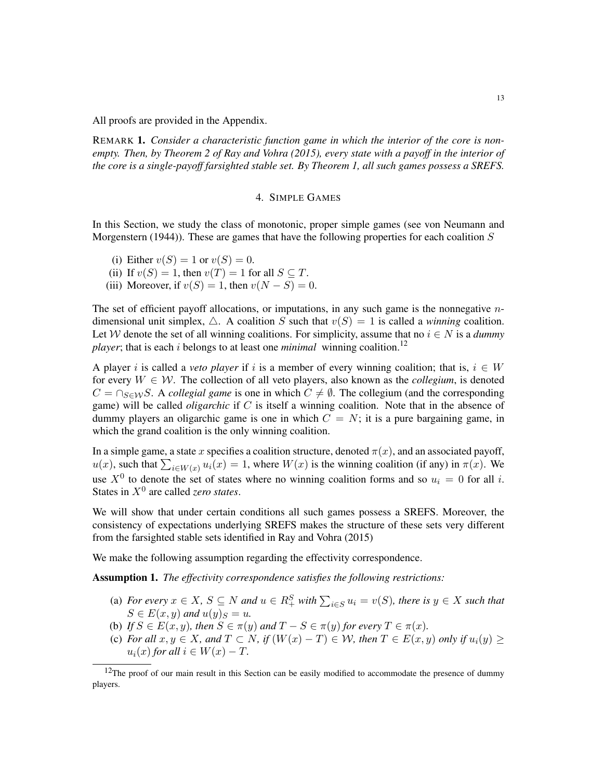All proofs are provided in the Appendix.

REMARK 1. *Consider a characteristic function game in which the interior of the core is nonempty. Then, by Theorem 2 of Ray and Vohra (2015), every state with a payoff in the interior of the core is a single-payoff farsighted stable set. By Theorem 1, all such games possess a SREFS.*

## 4. SIMPLE GAMES

In this Section, we study the class of monotonic, proper simple games (see von Neumann and Morgenstern (1944)). These are games that have the following properties for each coalition  $S$ 

- (i) Either  $v(S) = 1$  or  $v(S) = 0$ .
- (ii) If  $v(S) = 1$ , then  $v(T) = 1$  for all  $S \subseteq T$ .
- (iii) Moreover, if  $v(S) = 1$ , then  $v(N S) = 0$ .

The set of efficient payoff allocations, or imputations, in any such game is the nonnegative  $n$ dimensional unit simplex,  $\triangle$ . A coalition S such that  $v(S) = 1$  is called a *winning* coalition. Let W denote the set of all winning coalitions. For simplicity, assume that no  $i \in N$  is a *dummy player*; that is each *i* belongs to at least one *minimal* winning coalition.<sup>12</sup>

A player i is called a *veto player* if i is a member of every winning coalition; that is,  $i \in W$ for every  $W \in \mathcal{W}$ . The collection of all veto players, also known as the *collegium*, is denoted  $C = \bigcap_{S \in \mathcal{W}} S$ . A *collegial game* is one in which  $C \neq \emptyset$ . The collegium (and the corresponding game) will be called *oligarchic* if C is itself a winning coalition. Note that in the absence of dummy players an oligarchic game is one in which  $C = N$ ; it is a pure bargaining game, in which the grand coalition is the only winning coalition.

In a simple game, a state x specifies a coalition structure, denoted  $\pi(x)$ , and an associated payoff,  $u(x)$ , such that  $\sum_{i \in W(x)} u_i(x) = 1$ , where  $W(x)$  is the winning coalition (if any) in  $\pi(x)$ . We use  $X^0$  to denote the set of states where no winning coalition forms and so  $u_i = 0$  for all i. States in  $X^0$  are called *zero states*.

We will show that under certain conditions all such games possess a SREFS. Moreover, the consistency of expectations underlying SREFS makes the structure of these sets very different from the farsighted stable sets identified in Ray and Vohra (2015)

We make the following assumption regarding the effectivity correspondence.

Assumption 1. *The effectivity correspondence satisfies the following restrictions:*

- (a) *For every*  $x \in X$ ,  $S \subseteq N$  *and*  $u \in R_+^S$  *with*  $\sum_{i \in S} u_i = v(S)$ *, there is*  $y \in X$  *such that*  $S \in E(x, y)$  and  $u(y)_{S} = u$ .
- (b) *If*  $S \in E(x, y)$ *, then*  $S \in \pi(y)$  *and*  $T S \in \pi(y)$  *for every*  $T \in \pi(x)$ *.*
- (c) *For all*  $x, y \in X$ *, and*  $T \subset N$ *, if*  $(W(x) T) \in W$ *, then*  $T \in E(x, y)$  *only if*  $u_i(y) \ge$  $u_i(x)$  *for all*  $i \in W(x) - T$ .

 $12$ The proof of our main result in this Section can be easily modified to accommodate the presence of dummy players.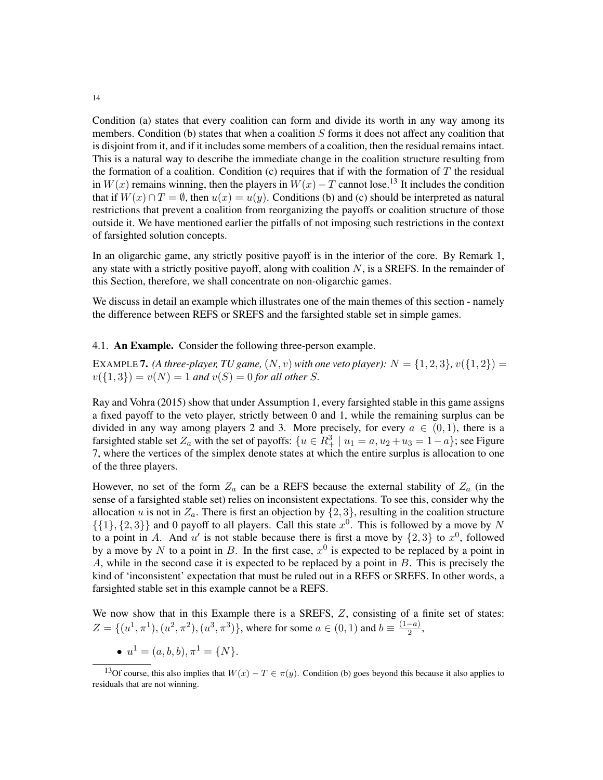Condition (a) states that every coalition can form and divide its worth in any way among its members. Condition (b) states that when a coalition  $S$  forms it does not affect any coalition that is disjoint from it, and if it includes some members of a coalition, then the residual remains intact. This is a natural way to describe the immediate change in the coalition structure resulting from the formation of a coalition. Condition (c) requires that if with the formation of  $T$  the residual in  $W(x)$  remains winning, then the players in  $W(x) - T$  cannot lose.<sup>13</sup> It includes the condition that if  $W(x) \cap T = \emptyset$ , then  $u(x) = u(y)$ . Conditions (b) and (c) should be interpreted as natural restrictions that prevent a coalition from reorganizing the payoffs or coalition structure of those outside it. We have mentioned earlier the pitfalls of not imposing such restrictions in the context of farsighted solution concepts.

In an oligarchic game, any strictly positive payoff is in the interior of the core. By Remark 1, any state with a strictly positive payoff, along with coalition  $N$ , is a SREFS. In the remainder of this Section, therefore, we shall concentrate on non-oligarchic games.

We discuss in detail an example which illustrates one of the main themes of this section - namely the difference between REFS or SREFS and the farsighted stable set in simple games.

4.1. An Example. Consider the following three-person example.

EXAMPLE 7. *(A three-player, TU game,*  $(N, v)$  *with one veto player):*  $N = \{1, 2, 3\}$ ,  $v(\{1, 2\}) =$  $v({1, 3}) = v(N) = 1$  *and*  $v(S) = 0$  *for all other S.* 

Ray and Vohra (2015) show that under Assumption 1, every farsighted stable in this game assigns a fixed payoff to the veto player, strictly between 0 and 1, while the remaining surplus can be divided in any way among players 2 and 3. More precisely, for every  $a \in (0, 1)$ , there is a farsighted stable set  $Z_a$  with the set of payoffs:  $\{u \in \overline{R_+^3} \mid u_1 = a, u_2 + u_3 = 1 - a\}$ ; see Figure 7, where the vertices of the simplex denote states at which the entire surplus is allocation to one of the three players.

However, no set of the form  $Z_a$  can be a REFS because the external stability of  $Z_a$  (in the sense of a farsighted stable set) relies on inconsistent expectations. To see this, consider why the allocation u is not in  $Z_a$ . There is first an objection by  $\{2,3\}$ , resulting in the coalition structure  $\{\{1\},\{2,3\}\}\$ and 0 payoff to all players. Call this state  $x^0$ . This is followed by a move by N to a point in A. And u' is not stable because there is first a move by  $\{2,3\}$  to  $x^0$ , followed by a move by N to a point in B. In the first case,  $x^0$  is expected to be replaced by a point in A, while in the second case it is expected to be replaced by a point in B. This is precisely the kind of 'inconsistent' expectation that must be ruled out in a REFS or SREFS. In other words, a farsighted stable set in this example cannot be a REFS.

We now show that in this Example there is a SREFS, Z, consisting of a finite set of states:  $Z = \{(u^1, \pi^1), (u^2, \pi^2), (u^3, \pi^3)\}\,$ , where for some  $a \in (0, 1)$  and  $b \equiv \frac{(1-a)}{2}$  $\frac{-a_j}{2},$ 

•  $u^1 = (a, b, b), \pi^1 = \{N\}.$ 

<sup>&</sup>lt;sup>13</sup>Of course, this also implies that  $W(x) - T \in \pi(y)$ . Condition (b) goes beyond this because it also applies to residuals that are not winning.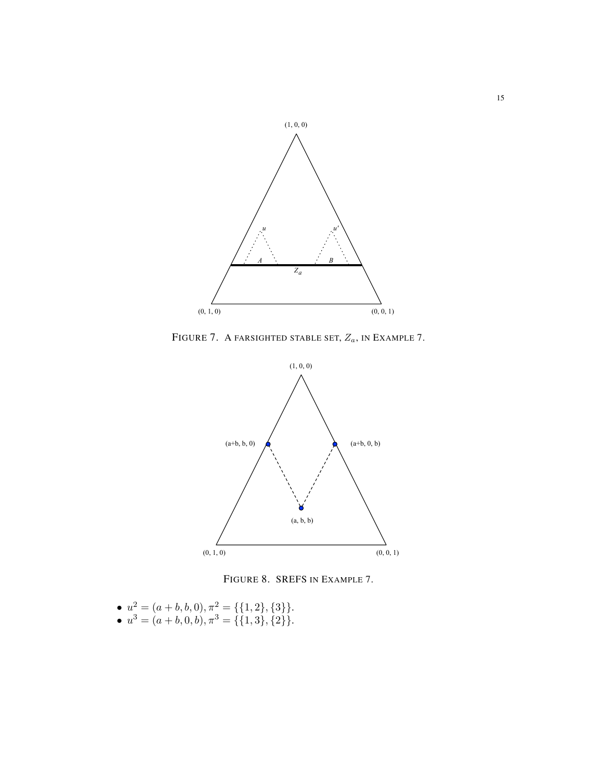

FIGURE 7. A FARSIGHTED STABLE SET,  $Z_a$ , IN EXAMPLE 7.





•  $u^2 = (a + b, b, 0), \pi^2 = \{\{1, 2\}, \{3\}\}.$ •  $u^3 = (a + b, 0, b), \pi^3 = {\mathbb{I}\{1,3\},\{2\}}.$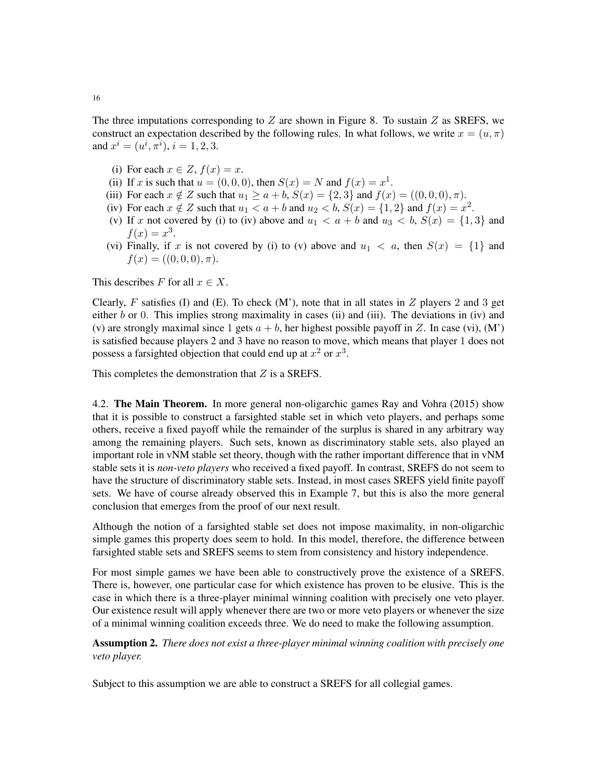The three imputations corresponding to  $Z$  are shown in Figure 8. To sustain  $Z$  as SREFS, we construct an expectation described by the following rules. In what follows, we write  $x = (u, \pi)$ and  $x^i = (u^i, \pi^i), i = 1, 2, 3.$ 

- (i) For each  $x \in Z$ ,  $f(x) = x$ .
- (ii) If x is such that  $u = (0, 0, 0)$ , then  $S(x) = N$  and  $f(x) = x^1$ .
- (iii) For each  $x \notin Z$  such that  $u_1 \ge a + b$ ,  $S(x) = \{2, 3\}$  and  $f(x) = ((0, 0, 0), \pi)$ .
- (iv) For each  $x \notin Z$  such that  $u_1 < a + b$  and  $u_2 < b$ ,  $S(x) = \{1, 2\}$  and  $f(x) = x^2$ .
- (v) If x not covered by (i) to (iv) above and  $u_1 < a + b$  and  $u_3 < b$ ,  $S(x) = \{1,3\}$  and  $f(x) = x^3$ .
- (vi) Finally, if x is not covered by (i) to (v) above and  $u_1 < a$ , then  $S(x) = \{1\}$  and  $f(x) = ((0, 0, 0), \pi).$

This describes F for all  $x \in X$ .

Clearly, F satisfies (I) and (E). To check  $(M')$ , note that in all states in Z players 2 and 3 get either  $b$  or 0. This implies strong maximality in cases (ii) and (iii). The deviations in (iv) and (v) are strongly maximal since 1 gets  $a + b$ , her highest possible payoff in Z. In case (vi),  $(M')$ is satisfied because players 2 and 3 have no reason to move, which means that player 1 does not possess a farsighted objection that could end up at  $x^2$  or  $x^3$ .

This completes the demonstration that  $Z$  is a SREFS.

4.2. **The Main Theorem.** In more general non-oligarchic games Ray and Vohra (2015) show that it is possible to construct a farsighted stable set in which veto players, and perhaps some others, receive a fixed payoff while the remainder of the surplus is shared in any arbitrary way among the remaining players. Such sets, known as discriminatory stable sets, also played an important role in vNM stable set theory, though with the rather important difference that in vNM stable sets it is *non-veto players* who received a fixed payoff. In contrast, SREFS do not seem to have the structure of discriminatory stable sets. Instead, in most cases SREFS yield finite payoff sets. We have of course already observed this in Example 7, but this is also the more general conclusion that emerges from the proof of our next result.

Although the notion of a farsighted stable set does not impose maximality, in non-oligarchic simple games this property does seem to hold. In this model, therefore, the difference between farsighted stable sets and SREFS seems to stem from consistency and history independence.

For most simple games we have been able to constructively prove the existence of a SREFS. There is, however, one particular case for which existence has proven to be elusive. This is the case in which there is a three-player minimal winning coalition with precisely one veto player. Our existence result will apply whenever there are two or more veto players or whenever the size of a minimal winning coalition exceeds three. We do need to make the following assumption.

Assumption 2. *There does not exist a three-player minimal winning coalition with precisely one veto player.*

Subject to this assumption we are able to construct a SREFS for all collegial games.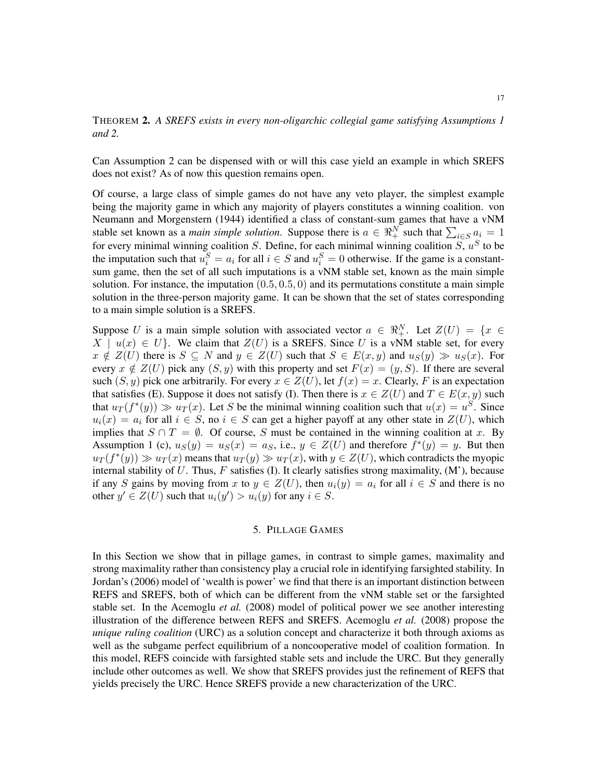THEOREM 2. *A SREFS exists in every non-oligarchic collegial game satisfying Assumptions 1 and 2.*

Can Assumption 2 can be dispensed with or will this case yield an example in which SREFS does not exist? As of now this question remains open.

Of course, a large class of simple games do not have any veto player, the simplest example being the majority game in which any majority of players constitutes a winning coalition. von Neumann and Morgenstern (1944) identified a class of constant-sum games that have a vNM stable set known as a *main simple solution*. Suppose there is  $a \in \Re^{N}_{+}$  such that  $\sum_{i \in S} a_i = 1$ for every minimal winning coalition S. Define, for each minimal winning coalition  $S, u^S$  to be the imputation such that  $u_i^S = a_i$  for all  $i \in S$  and  $u_i^S = 0$  otherwise. If the game is a constantsum game, then the set of all such imputations is a vNM stable set, known as the main simple solution. For instance, the imputation  $(0.5, 0.5, 0)$  and its permutations constitute a main simple solution in the three-person majority game. It can be shown that the set of states corresponding to a main simple solution is a SREFS.

Suppose U is a main simple solution with associated vector  $a \in \mathbb{R}^N_+$ . Let  $Z(U) = \{x \in$  $X \mid u(x) \in U$ . We claim that  $Z(U)$  is a SREFS. Since U is a vNM stable set, for every  $x \notin Z(U)$  there is  $S \subseteq N$  and  $y \in Z(U)$  such that  $S \in E(x, y)$  and  $u_S(y) \gg u_S(x)$ . For every  $x \notin Z(U)$  pick any  $(S, y)$  with this property and set  $F(x) = (y, S)$ . If there are several such  $(S, y)$  pick one arbitrarily. For every  $x \in Z(U)$ , let  $f(x) = x$ . Clearly, F is an expectation that satisfies (E). Suppose it does not satisfy (I). Then there is  $x \in Z(U)$  and  $T \in E(x, y)$  such that  $u_T(f^*(y)) \gg u_T(x)$ . Let S be the minimal winning coalition such that  $u(x) = u^S$ . Since  $u_i(x) = a_i$  for all  $i \in S$ , no  $i \in S$  can get a higher payoff at any other state in  $Z(U)$ , which implies that  $S \cap T = \emptyset$ . Of course, S must be contained in the winning coalition at x. By Assumption 1 (c),  $u_S(y) = u_S(x) = a_S$ , i.e.,  $y \in Z(U)$  and therefore  $f^*(y) = y$ . But then  $u_T(f^*(y)) \gg u_T(x)$  means that  $u_T(y) \gg u_T(x)$ , with  $y \in Z(U)$ , which contradicts the myopic internal stability of  $U$ . Thus,  $F$  satisfies (I). It clearly satisfies strong maximality,  $(M')$ , because if any S gains by moving from x to  $y \in Z(U)$ , then  $u_i(y) = a_i$  for all  $i \in S$  and there is no other  $y' \in Z(U)$  such that  $u_i(y') > u_i(y)$  for any  $i \in S$ .

## 5. PILLAGE GAMES

In this Section we show that in pillage games, in contrast to simple games, maximality and strong maximality rather than consistency play a crucial role in identifying farsighted stability. In Jordan's (2006) model of 'wealth is power' we find that there is an important distinction between REFS and SREFS, both of which can be different from the vNM stable set or the farsighted stable set. In the Acemoglu *et al.* (2008) model of political power we see another interesting illustration of the difference between REFS and SREFS. Acemoglu *et al.* (2008) propose the *unique ruling coalition* (URC) as a solution concept and characterize it both through axioms as well as the subgame perfect equilibrium of a noncooperative model of coalition formation. In this model, REFS coincide with farsighted stable sets and include the URC. But they generally include other outcomes as well. We show that SREFS provides just the refinement of REFS that yields precisely the URC. Hence SREFS provide a new characterization of the URC.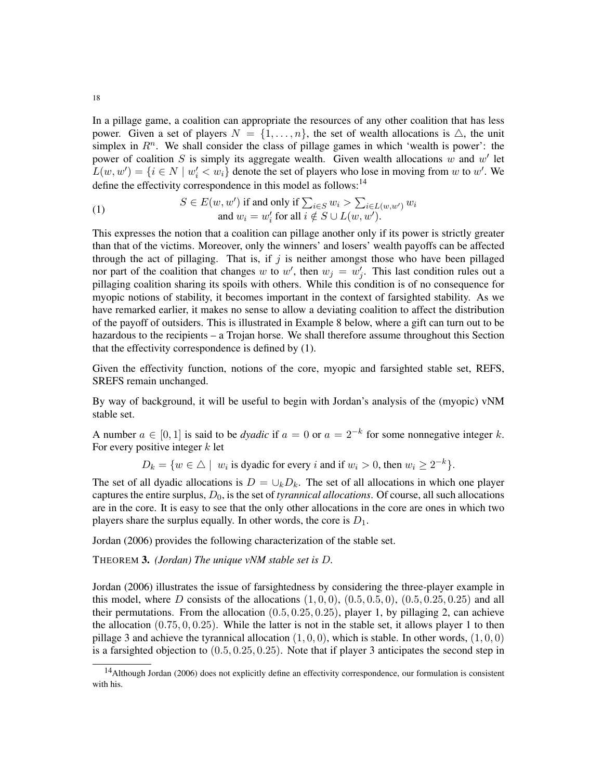In a pillage game, a coalition can appropriate the resources of any other coalition that has less power. Given a set of players  $N = \{1, \ldots, n\}$ , the set of wealth allocations is  $\triangle$ , the unit simplex in  $R<sup>n</sup>$ . We shall consider the class of pillage games in which 'wealth is power': the power of coalition S is simply its aggregate wealth. Given wealth allocations w and  $w'$  let  $L(w, w') = \{i \in N \mid w'_i < w_i\}$  denote the set of players who lose in moving from w to w'. We define the effectivity correspondence in this model as follows: $14$ 

(1) 
$$
S \in E(w, w') \text{ if and only if } \sum_{i \in S} w_i > \sum_{i \in L(w, w')} w_i
$$
  
and  $w_i = w'_i \text{ for all } i \notin S \cup L(w, w').$ 

This expresses the notion that a coalition can pillage another only if its power is strictly greater than that of the victims. Moreover, only the winners' and losers' wealth payoffs can be affected through the act of pillaging. That is, if  $j$  is neither amongst those who have been pillaged nor part of the coalition that changes w to w', then  $w_j = w'_j$ . This last condition rules out a pillaging coalition sharing its spoils with others. While this condition is of no consequence for myopic notions of stability, it becomes important in the context of farsighted stability. As we have remarked earlier, it makes no sense to allow a deviating coalition to affect the distribution of the payoff of outsiders. This is illustrated in Example 8 below, where a gift can turn out to be hazardous to the recipients – a Trojan horse. We shall therefore assume throughout this Section that the effectivity correspondence is defined by (1).

Given the effectivity function, notions of the core, myopic and farsighted stable set, REFS, SREFS remain unchanged.

By way of background, it will be useful to begin with Jordan's analysis of the (myopic) vNM stable set.

A number  $a \in [0, 1]$  is said to be *dyadic* if  $a = 0$  or  $a = 2^{-k}$  for some nonnegative integer k. For every positive integer  $k$  let

 $D_k = \{w \in \triangle \mid w_i \text{ is dyadic for every } i \text{ and if } w_i > 0, \text{ then } w_i \geq 2^{-k}\}.$ 

The set of all dyadic allocations is  $D = \bigcup_k D_k$ . The set of all allocations in which one player captures the entire surplus,  $D_0$ , is the set of *tyrannical allocations*. Of course, all such allocations are in the core. It is easy to see that the only other allocations in the core are ones in which two players share the surplus equally. In other words, the core is  $D_1$ .

Jordan (2006) provides the following characterization of the stable set.

THEOREM 3. *(Jordan) The unique vNM stable set is* D*.*

Jordan (2006) illustrates the issue of farsightedness by considering the three-player example in this model, where D consists of the allocations  $(1, 0, 0)$ ,  $(0.5, 0.5, 0)$ ,  $(0.5, 0.25, 0.25)$  and all their permutations. From the allocation  $(0.5, 0.25, 0.25)$ , player 1, by pillaging 2, can achieve the allocation  $(0.75, 0, 0.25)$ . While the latter is not in the stable set, it allows player 1 to then pillage 3 and achieve the tyrannical allocation  $(1, 0, 0)$ , which is stable. In other words,  $(1, 0, 0)$ is a farsighted objection to  $(0.5, 0.25, 0.25)$ . Note that if player 3 anticipates the second step in

<sup>&</sup>lt;sup>14</sup>Although Jordan (2006) does not explicitly define an effectivity correspondence, our formulation is consistent with his.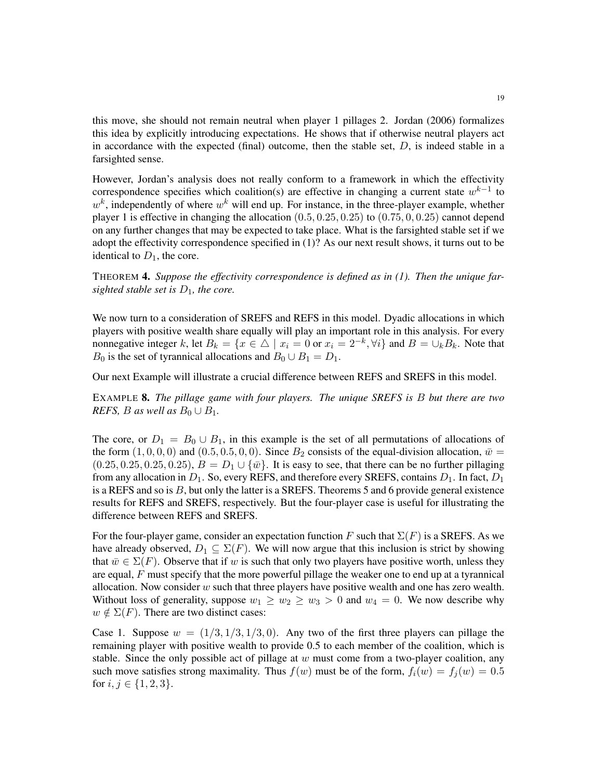this move, she should not remain neutral when player 1 pillages 2. Jordan (2006) formalizes this idea by explicitly introducing expectations. He shows that if otherwise neutral players act in accordance with the expected (final) outcome, then the stable set,  $D$ , is indeed stable in a farsighted sense.

However, Jordan's analysis does not really conform to a framework in which the effectivity correspondence specifies which coalition(s) are effective in changing a current state  $w^{k-1}$  to  $w<sup>k</sup>$ , independently of where  $w<sup>k</sup>$  will end up. For instance, in the three-player example, whether player 1 is effective in changing the allocation  $(0.5, 0.25, 0.25)$  to  $(0.75, 0, 0.25)$  cannot depend on any further changes that may be expected to take place. What is the farsighted stable set if we adopt the effectivity correspondence specified in (1)? As our next result shows, it turns out to be identical to  $D_1$ , the core.

THEOREM 4. *Suppose the effectivity correspondence is defined as in (1). Then the unique farsighted stable set is*  $D_1$ *, the core.* 

We now turn to a consideration of SREFS and REFS in this model. Dyadic allocations in which players with positive wealth share equally will play an important role in this analysis. For every nonnegative integer k, let  $B_k = \{x \in \triangle \mid x_i = 0 \text{ or } x_i = 2^{-k}, \forall i\}$  and  $B = \cup_k B_k$ . Note that  $B_0$  is the set of tyrannical allocations and  $B_0 \cup B_1 = D_1$ .

Our next Example will illustrate a crucial difference between REFS and SREFS in this model.

EXAMPLE 8. *The pillage game with four players. The unique SREFS is* B *but there are two REFS, B as well as*  $B_0 \cup B_1$ *.* 

The core, or  $D_1 = B_0 \cup B_1$ , in this example is the set of all permutations of allocations of the form  $(1, 0, 0, 0)$  and  $(0.5, 0.5, 0, 0)$ . Since  $B_2$  consists of the equal-division allocation,  $\bar{w} =$  $(0.25, 0.25, 0.25, 0.25), B = D_1 \cup {\overline{w}}$ . It is easy to see, that there can be no further pillaging from any allocation in  $D_1$ . So, every REFS, and therefore every SREFS, contains  $D_1$ . In fact,  $D_1$ is a REFS and so is  $B$ , but only the latter is a SREFS. Theorems 5 and 6 provide general existence results for REFS and SREFS, respectively. But the four-player case is useful for illustrating the difference between REFS and SREFS.

For the four-player game, consider an expectation function F such that  $\Sigma(F)$  is a SREFS. As we have already observed,  $D_1 \subseteq \Sigma(F)$ . We will now argue that this inclusion is strict by showing that  $\bar{w} \in \Sigma(F)$ . Observe that if w is such that only two players have positive worth, unless they are equal,  $F$  must specify that the more powerful pillage the weaker one to end up at a tyrannical allocation. Now consider  $w$  such that three players have positive wealth and one has zero wealth. Without loss of generality, suppose  $w_1 \geq w_2 \geq w_3 > 0$  and  $w_4 = 0$ . We now describe why  $w \notin \Sigma(F)$ . There are two distinct cases:

Case 1. Suppose  $w = (1/3, 1/3, 1/3, 0)$ . Any two of the first three players can pillage the remaining player with positive wealth to provide 0.5 to each member of the coalition, which is stable. Since the only possible act of pillage at  $w$  must come from a two-player coalition, any such move satisfies strong maximality. Thus  $f(w)$  must be of the form,  $f_i(w) = f_i(w) = 0.5$ for  $i, j \in \{1, 2, 3\}$ .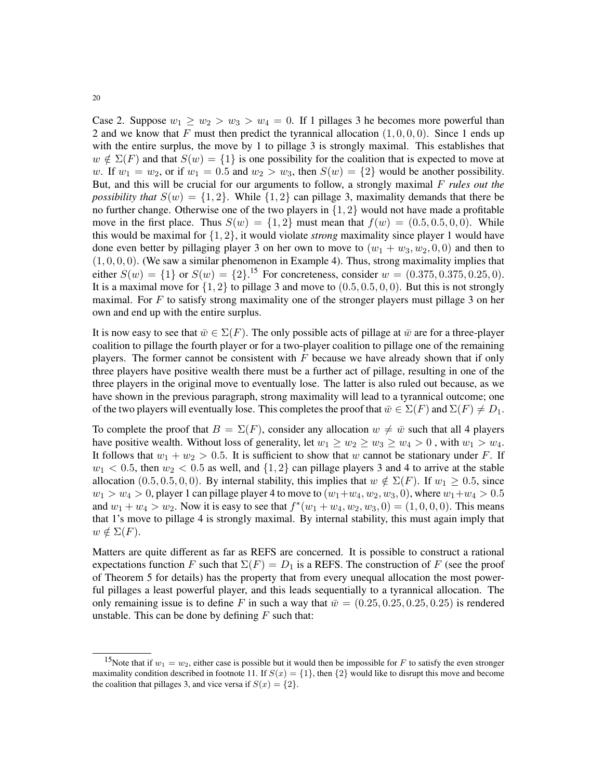Case 2. Suppose  $w_1 \geq w_2 > w_3 > w_4 = 0$ . If 1 pillages 3 he becomes more powerful than 2 and we know that F must then predict the tyrannical allocation  $(1, 0, 0, 0)$ . Since 1 ends up with the entire surplus, the move by 1 to pillage 3 is strongly maximal. This establishes that  $w \notin \Sigma(F)$  and that  $S(w) = \{1\}$  is one possibility for the coalition that is expected to move at w. If  $w_1 = w_2$ , or if  $w_1 = 0.5$  and  $w_2 > w_3$ , then  $S(w) = \{2\}$  would be another possibility. But, and this will be crucial for our arguments to follow, a strongly maximal F *rules out the possibility that*  $S(w) = \{1, 2\}$ . While  $\{1, 2\}$  can pillage 3, maximality demands that there be no further change. Otherwise one of the two players in  $\{1, 2\}$  would not have made a profitable move in the first place. Thus  $S(w) = \{1,2\}$  must mean that  $f(w) = (0.5, 0.5, 0, 0)$ . While this would be maximal for  $\{1, 2\}$ , it would violate *strong* maximality since player 1 would have done even better by pillaging player 3 on her own to move to  $(w_1 + w_3, w_2, 0, 0)$  and then to  $(1, 0, 0, 0)$ . (We saw a similar phenomenon in Example 4). Thus, strong maximality implies that either  $S(w) = \{1\}$  or  $S(w) = \{2\}$ .<sup>15</sup> For concreteness, consider  $w = (0.375, 0.375, 0.25, 0)$ . It is a maximal move for  $\{1, 2\}$  to pillage 3 and move to  $(0.5, 0.5, 0, 0)$ . But this is not strongly maximal. For F to satisfy strong maximality one of the stronger players must pillage 3 on her own and end up with the entire surplus.

It is now easy to see that  $\bar{w} \in \Sigma(F)$ . The only possible acts of pillage at  $\bar{w}$  are for a three-player coalition to pillage the fourth player or for a two-player coalition to pillage one of the remaining players. The former cannot be consistent with  $F$  because we have already shown that if only three players have positive wealth there must be a further act of pillage, resulting in one of the three players in the original move to eventually lose. The latter is also ruled out because, as we have shown in the previous paragraph, strong maximality will lead to a tyrannical outcome; one of the two players will eventually lose. This completes the proof that  $\bar{w} \in \Sigma(F)$  and  $\Sigma(F) \neq D_1$ .

To complete the proof that  $B = \Sigma(F)$ , consider any allocation  $w \neq \bar{w}$  such that all 4 players have positive wealth. Without loss of generality, let  $w_1 \geq w_2 \geq w_3 \geq w_4 > 0$ , with  $w_1 > w_4$ . It follows that  $w_1 + w_2 > 0.5$ . It is sufficient to show that w cannot be stationary under F. If  $w_1$  < 0.5, then  $w_2$  < 0.5 as well, and  $\{1,2\}$  can pillage players 3 and 4 to arrive at the stable allocation (0.5, 0.5, 0, 0). By internal stability, this implies that  $w \notin \Sigma(F)$ . If  $w_1 \ge 0.5$ , since  $w_1 > w_4 > 0$ , player 1 can pillage player 4 to move to  $(w_1+w_4, w_2, w_3, 0)$ , where  $w_1+w_4 > 0.5$ and  $w_1 + w_4 > w_2$ . Now it is easy to see that  $f^*(w_1 + w_4, w_2, w_3, 0) = (1, 0, 0, 0)$ . This means that 1's move to pillage 4 is strongly maximal. By internal stability, this must again imply that  $w \notin \Sigma(F)$ .

Matters are quite different as far as REFS are concerned. It is possible to construct a rational expectations function F such that  $\Sigma(F) = D_1$  is a REFS. The construction of F (see the proof of Theorem 5 for details) has the property that from every unequal allocation the most powerful pillages a least powerful player, and this leads sequentially to a tyrannical allocation. The only remaining issue is to define F in such a way that  $\bar{w} = (0.25, 0.25, 0.25, 0.25)$  is rendered unstable. This can be done by defining  $F$  such that:

<sup>&</sup>lt;sup>15</sup>Note that if  $w_1 = w_2$ , either case is possible but it would then be impossible for F to satisfy the even stronger maximality condition described in footnote 11. If  $S(x) = \{1\}$ , then  $\{2\}$  would like to disrupt this move and become the coalition that pillages 3, and vice versa if  $S(x) = \{2\}$ .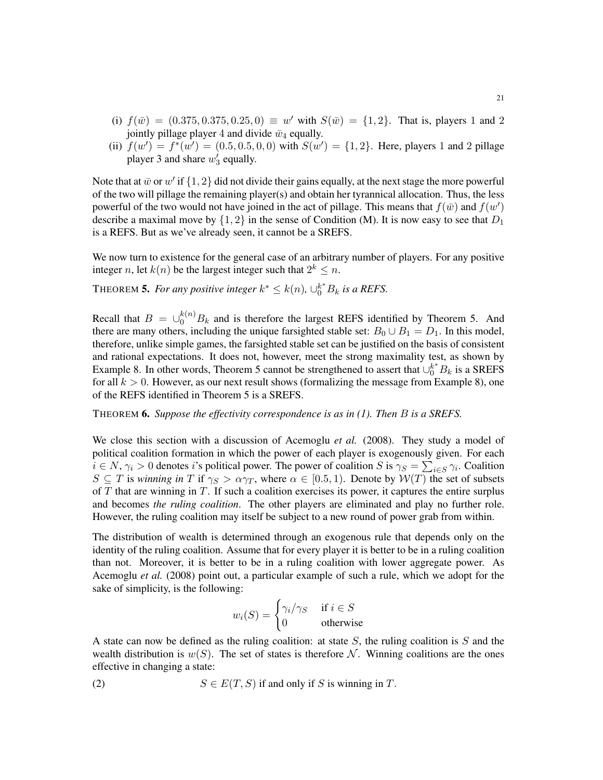- (i)  $f(\bar{w}) = (0.375, 0.375, 0.25, 0) \equiv w'$  with  $S(\bar{w}) = \{1, 2\}$ . That is, players 1 and 2 jointly pillage player 4 and divide  $\bar{w}_4$  equally.
- (ii)  $f(w') = f^*(w') = (0.5, 0.5, 0, 0)$  with  $S(w') = \{1, 2\}$ . Here, players 1 and 2 pillage player 3 and share  $w'_3$  equally.

Note that at  $\bar{w}$  or  $w'$  if  $\{1,2\}$  did not divide their gains equally, at the next stage the more powerful of the two will pillage the remaining player(s) and obtain her tyrannical allocation. Thus, the less powerful of the two would not have joined in the act of pillage. This means that  $f(\bar{w})$  and  $f(w')$ describe a maximal move by  $\{1, 2\}$  in the sense of Condition (M). It is now easy to see that  $D_1$ is a REFS. But as we've already seen, it cannot be a SREFS.

We now turn to existence for the general case of an arbitrary number of players. For any positive integer *n*, let  $k(n)$  be the largest integer such that  $2^k \leq n$ .

THEOREM **5.** For any positive integer  $k^* \leq k(n)$ ,  $\bigcup_{0}^{k^*} B_k$  is a REFS.

Recall that  $B = \bigcup_{0}^{k(n)} B_k$  and is therefore the largest REFS identified by Theorem 5. And there are many others, including the unique farsighted stable set:  $B_0 \cup B_1 = D_1$ . In this model, therefore, unlike simple games, the farsighted stable set can be justified on the basis of consistent and rational expectations. It does not, however, meet the strong maximality test, as shown by Example 8. In other words, Theorem 5 cannot be strengthened to assert that  $\bigcup_{0}^{k^*} B_k$  is a SREFS for all  $k > 0$ . However, as our next result shows (formalizing the message from Example 8), one of the REFS identified in Theorem 5 is a SREFS.

THEOREM 6. *Suppose the effectivity correspondence is as in (1). Then* B *is a SREFS.*

We close this section with a discussion of Acemoglu *et al.* (2008). They study a model of political coalition formation in which the power of each player is exogenously given. For each  $i \in N$ ,  $\gamma_i > 0$  denotes *i*'s political power. The power of coalition *S* is  $\gamma_S = \sum_{i \in S} \gamma_i$ . Coalition  $S \subseteq T$  is *winning in* T if  $\gamma_S > \alpha \gamma_T$ , where  $\alpha \in [0.5, 1)$ . Denote by  $W(T)$  the set of subsets of  $T$  that are winning in  $T$ . If such a coalition exercises its power, it captures the entire surplus and becomes *the ruling coalition*. The other players are eliminated and play no further role. However, the ruling coalition may itself be subject to a new round of power grab from within.

The distribution of wealth is determined through an exogenous rule that depends only on the identity of the ruling coalition. Assume that for every player it is better to be in a ruling coalition than not. Moreover, it is better to be in a ruling coalition with lower aggregate power. As Acemoglu *et al.* (2008) point out, a particular example of such a rule, which we adopt for the sake of simplicity, is the following:

$$
w_i(S) = \begin{cases} \gamma_i/\gamma_S & \text{if } i \in S \\ 0 & \text{otherwise} \end{cases}
$$

A state can now be defined as the ruling coalition: at state  $S$ , the ruling coalition is  $S$  and the wealth distribution is  $w(S)$ . The set of states is therefore N. Winning coalitions are the ones effective in changing a state:

(2) 
$$
S \in E(T, S) \text{ if and only if } S \text{ is winning in } T.
$$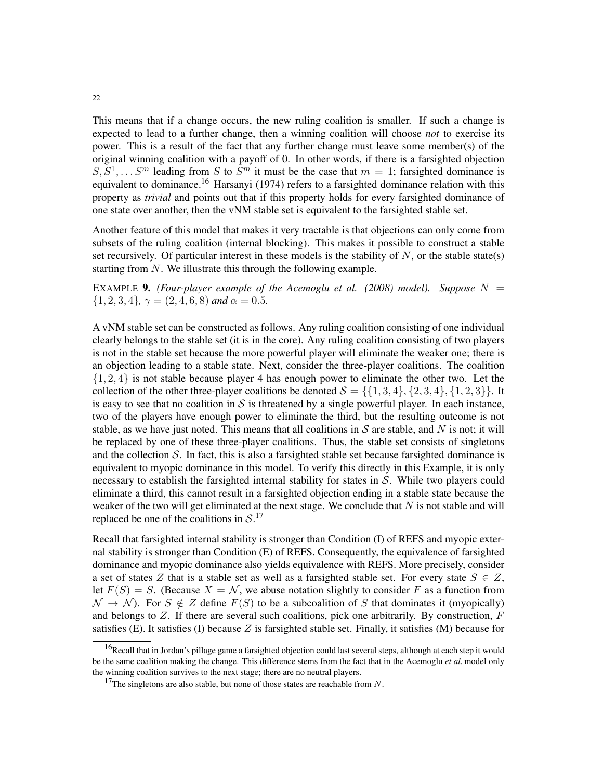This means that if a change occurs, the new ruling coalition is smaller. If such a change is expected to lead to a further change, then a winning coalition will choose *not* to exercise its power. This is a result of the fact that any further change must leave some member(s) of the original winning coalition with a payoff of 0. In other words, if there is a farsighted objection  $S, S^1, \ldots S^m$  leading from S to  $S^m$  it must be the case that  $m = 1$ ; farsighted dominance is equivalent to dominance.<sup>16</sup> Harsanyi (1974) refers to a farsighted dominance relation with this property as *trivial* and points out that if this property holds for every farsighted dominance of one state over another, then the vNM stable set is equivalent to the farsighted stable set.

Another feature of this model that makes it very tractable is that objections can only come from subsets of the ruling coalition (internal blocking). This makes it possible to construct a stable set recursively. Of particular interest in these models is the stability of  $N$ , or the stable state(s) starting from  $N$ . We illustrate this through the following example.

EXAMPLE 9. *(Four-player example of the Acemoglu et al. (2008) model). Suppose*  $N =$  $\{1, 2, 3, 4\}, \gamma = (2, 4, 6, 8)$  *and*  $\alpha = 0.5$ *.* 

A vNM stable set can be constructed as follows. Any ruling coalition consisting of one individual clearly belongs to the stable set (it is in the core). Any ruling coalition consisting of two players is not in the stable set because the more powerful player will eliminate the weaker one; there is an objection leading to a stable state. Next, consider the three-player coalitions. The coalition  $\{1, 2, 4\}$  is not stable because player 4 has enough power to eliminate the other two. Let the collection of the other three-player coalitions be denoted  $S = \{\{1, 3, 4\}, \{2, 3, 4\}, \{1, 2, 3\}\}\.$  It is easy to see that no coalition in  $S$  is threatened by a single powerful player. In each instance, two of the players have enough power to eliminate the third, but the resulting outcome is not stable, as we have just noted. This means that all coalitions in  $S$  are stable, and N is not; it will be replaced by one of these three-player coalitions. Thus, the stable set consists of singletons and the collection  $S$ . In fact, this is also a farsighted stable set because farsighted dominance is equivalent to myopic dominance in this model. To verify this directly in this Example, it is only necessary to establish the farsighted internal stability for states in S. While two players could eliminate a third, this cannot result in a farsighted objection ending in a stable state because the weaker of the two will get eliminated at the next stage. We conclude that  $N$  is not stable and will replaced be one of the coalitions in  $S^{17}$ .

Recall that farsighted internal stability is stronger than Condition (I) of REFS and myopic external stability is stronger than Condition (E) of REFS. Consequently, the equivalence of farsighted dominance and myopic dominance also yields equivalence with REFS. More precisely, consider a set of states Z that is a stable set as well as a farsighted stable set. For every state  $S \in \mathbb{Z}$ , let  $F(S) = S$ . (Because  $X = \mathcal{N}$ , we abuse notation slightly to consider F as a function from  $\mathcal{N} \to \mathcal{N}$ ). For  $S \notin Z$  define  $F(S)$  to be a subcoalition of S that dominates it (myopically) and belongs to  $Z$ . If there are several such coalitions, pick one arbitrarily. By construction,  $F$ satisfies (E). It satisfies (I) because  $Z$  is farsighted stable set. Finally, it satisfies (M) because for

<sup>&</sup>lt;sup>16</sup>Recall that in Jordan's pillage game a farsighted objection could last several steps, although at each step it would be the same coalition making the change. This difference stems from the fact that in the Acemoglu *et al.* model only the winning coalition survives to the next stage; there are no neutral players.

<sup>&</sup>lt;sup>17</sup>The singletons are also stable, but none of those states are reachable from N.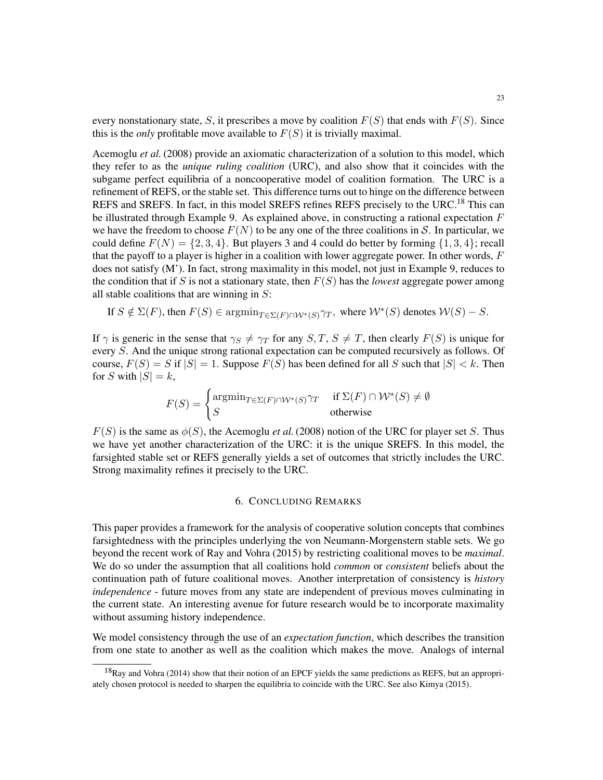every nonstationary state, S, it prescribes a move by coalition  $F(S)$  that ends with  $F(S)$ . Since this is the *only* profitable move available to  $F(S)$  it is trivially maximal.

Acemoglu *et al.* (2008) provide an axiomatic characterization of a solution to this model, which they refer to as the *unique ruling coalition* (URC), and also show that it coincides with the subgame perfect equilibria of a noncooperative model of coalition formation. The URC is a refinement of REFS, or the stable set. This difference turns out to hinge on the difference between REFS and SREFS. In fact, in this model SREFS refines REFS precisely to the URC.<sup>18</sup> This can be illustrated through Example 9. As explained above, in constructing a rational expectation  $F$ we have the freedom to choose  $F(N)$  to be any one of the three coalitions in S. In particular, we could define  $F(N) = \{2, 3, 4\}$ . But players 3 and 4 could do better by forming  $\{1, 3, 4\}$ ; recall that the payoff to a player is higher in a coalition with lower aggregate power. In other words,  $F$ does not satisfy (M'). In fact, strong maximality in this model, not just in Example 9, reduces to the condition that if  $S$  is not a stationary state, then  $F(S)$  has the *lowest* aggregate power among all stable coalitions that are winning in  $S$ :

If  $S \notin \Sigma(F)$ , then  $F(S) \in \operatorname{argmin}_{T \in \Sigma(F) \cap \mathcal{W}^*(S)} \gamma_T$ , where  $\mathcal{W}^*(S)$  denotes  $\mathcal{W}(S) - S$ .

If  $\gamma$  is generic in the sense that  $\gamma_S \neq \gamma_T$  for any  $S, T, S \neq T$ , then clearly  $F(S)$  is unique for every S. And the unique strong rational expectation can be computed recursively as follows. Of course,  $F(S) = S$  if  $|S| = 1$ . Suppose  $F(S)$  has been defined for all S such that  $|S| < k$ . Then for S with  $|S| = k$ ,

$$
F(S) = \begin{cases} \operatorname{argmin}_{T \in \Sigma(F) \cap \mathcal{W}^*(S)} \gamma_T & \text{if } \Sigma(F) \cap \mathcal{W}^*(S) \neq \emptyset \\ S & \text{otherwise} \end{cases}
$$

 $F(S)$  is the same as  $\phi(S)$ , the Acemoglu *et al.* (2008) notion of the URC for player set S. Thus we have yet another characterization of the URC: it is the unique SREFS. In this model, the farsighted stable set or REFS generally yields a set of outcomes that strictly includes the URC. Strong maximality refines it precisely to the URC.

# 6. CONCLUDING REMARKS

This paper provides a framework for the analysis of cooperative solution concepts that combines farsightedness with the principles underlying the von Neumann-Morgenstern stable sets. We go beyond the recent work of Ray and Vohra (2015) by restricting coalitional moves to be *maximal*. We do so under the assumption that all coalitions hold *common* or *consistent* beliefs about the continuation path of future coalitional moves. Another interpretation of consistency is *history independence* - future moves from any state are independent of previous moves culminating in the current state. An interesting avenue for future research would be to incorporate maximality without assuming history independence.

We model consistency through the use of an *expectation function*, which describes the transition from one state to another as well as the coalition which makes the move. Analogs of internal

 $18$ Ray and Vohra (2014) show that their notion of an EPCF yields the same predictions as REFS, but an appropriately chosen protocol is needed to sharpen the equilibria to coincide with the URC. See also Kimya (2015).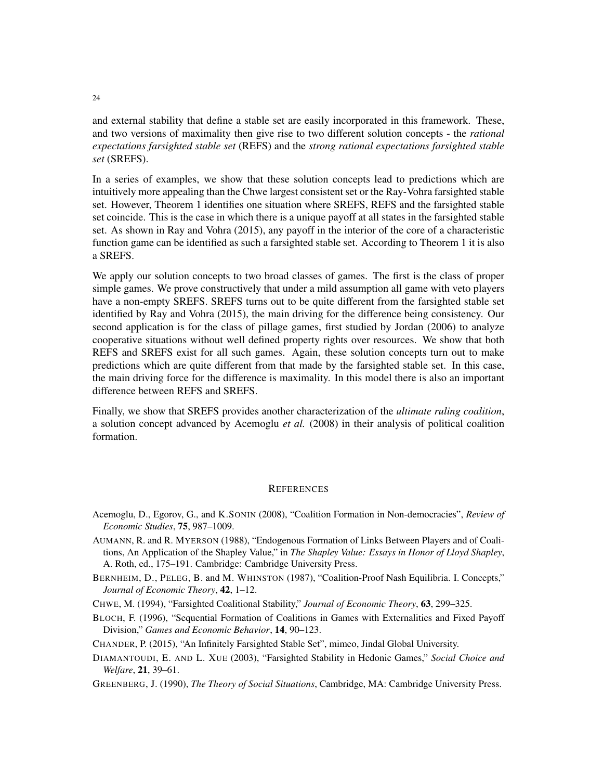# and external stability that define a stable set are easily incorporated in this framework. These, and two versions of maximality then give rise to two different solution concepts - the *rational expectations farsighted stable set* (REFS) and the *strong rational expectations farsighted stable set* (SREFS).

In a series of examples, we show that these solution concepts lead to predictions which are intuitively more appealing than the Chwe largest consistent set or the Ray-Vohra farsighted stable set. However, Theorem 1 identifies one situation where SREFS, REFS and the farsighted stable set coincide. This is the case in which there is a unique payoff at all states in the farsighted stable set. As shown in Ray and Vohra (2015), any payoff in the interior of the core of a characteristic function game can be identified as such a farsighted stable set. According to Theorem 1 it is also a SREFS.

We apply our solution concepts to two broad classes of games. The first is the class of proper simple games. We prove constructively that under a mild assumption all game with veto players have a non-empty SREFS. SREFS turns out to be quite different from the farsighted stable set identified by Ray and Vohra (2015), the main driving for the difference being consistency. Our second application is for the class of pillage games, first studied by Jordan (2006) to analyze cooperative situations without well defined property rights over resources. We show that both REFS and SREFS exist for all such games. Again, these solution concepts turn out to make predictions which are quite different from that made by the farsighted stable set. In this case, the main driving force for the difference is maximality. In this model there is also an important difference between REFS and SREFS.

Finally, we show that SREFS provides another characterization of the *ultimate ruling coalition*, a solution concept advanced by Acemoglu *et al.* (2008) in their analysis of political coalition formation.

#### **REFERENCES**

- Acemoglu, D., Egorov, G., and K.SONIN (2008), "Coalition Formation in Non-democracies", *Review of Economic Studies*, 75, 987–1009.
- AUMANN, R. and R. MYERSON (1988), "Endogenous Formation of Links Between Players and of Coalitions, An Application of the Shapley Value," in *The Shapley Value: Essays in Honor of Lloyd Shapley*, A. Roth, ed., 175–191. Cambridge: Cambridge University Press.
- BERNHEIM, D., PELEG, B. and M. WHINSTON (1987), "Coalition-Proof Nash Equilibria. I. Concepts," *Journal of Economic Theory*, 42, 1–12.

CHWE, M. (1994), "Farsighted Coalitional Stability," *Journal of Economic Theory*, 63, 299–325.

- BLOCH, F. (1996), "Sequential Formation of Coalitions in Games with Externalities and Fixed Payoff Division," *Games and Economic Behavior*, 14, 90–123.
- CHANDER, P. (2015), "An Infinitely Farsighted Stable Set", mimeo, Jindal Global University.
- DIAMANTOUDI, E. AND L. XUE (2003), "Farsighted Stability in Hedonic Games," *Social Choice and Welfare*, 21, 39–61.
- GREENBERG, J. (1990), *The Theory of Social Situations*, Cambridge, MA: Cambridge University Press.

#### 24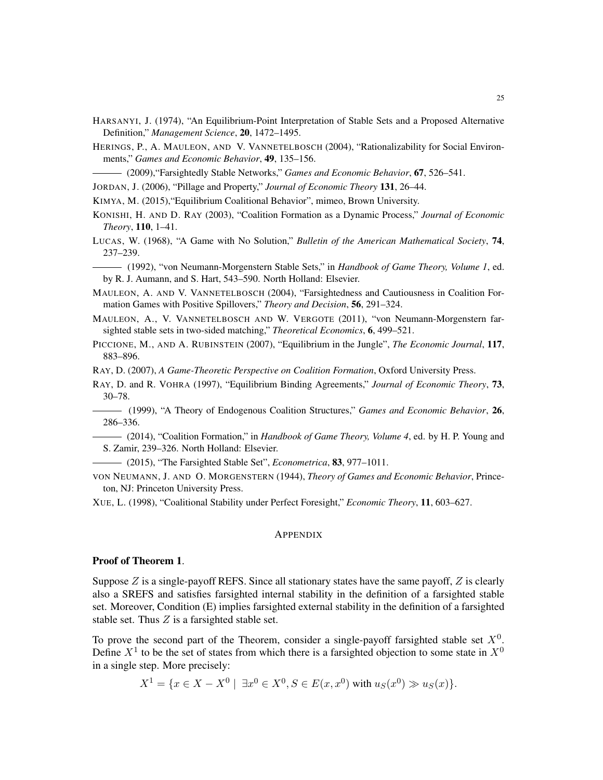HARSANYI, J. (1974), "An Equilibrium-Point Interpretation of Stable Sets and a Proposed Alternative Definition," *Management Science*, 20, 1472–1495.

HERINGS, P., A. MAULEON, AND V. VANNETELBOSCH (2004), "Rationalizability for Social Environments," *Games and Economic Behavior*, 49, 135–156.

(2009),"Farsightedly Stable Networks," *Games and Economic Behavior*, 67, 526–541.

JORDAN, J. (2006), "Pillage and Property," *Journal of Economic Theory* 131, 26–44.

KIMYA, M. (2015),"Equilibrium Coalitional Behavior", mimeo, Brown University.

KONISHI, H. AND D. RAY (2003), "Coalition Formation as a Dynamic Process," *Journal of Economic Theory*, 110, 1–41.

- LUCAS, W. (1968), "A Game with No Solution," *Bulletin of the American Mathematical Society*, 74, 237–239.
- (1992), "von Neumann-Morgenstern Stable Sets," in *Handbook of Game Theory, Volume 1*, ed. by R. J. Aumann, and S. Hart, 543–590. North Holland: Elsevier.
- MAULEON, A. AND V. VANNETELBOSCH (2004), "Farsightedness and Cautiousness in Coalition Formation Games with Positive Spillovers," *Theory and Decision*, 56, 291–324.
- MAULEON, A., V. VANNETELBOSCH AND W. VERGOTE (2011), "von Neumann-Morgenstern farsighted stable sets in two-sided matching," *Theoretical Economics*, 6, 499–521.

PICCIONE, M., AND A. RUBINSTEIN (2007), "Equilibrium in the Jungle", *The Economic Journal*, 117, 883–896.

RAY, D. (2007), *A Game-Theoretic Perspective on Coalition Formation*, Oxford University Press.

RAY, D. and R. VOHRA (1997), "Equilibrium Binding Agreements," *Journal of Economic Theory*, 73, 30–78.

(1999), "A Theory of Endogenous Coalition Structures," *Games and Economic Behavior*, 26, 286–336.

(2014), "Coalition Formation," in *Handbook of Game Theory, Volume 4*, ed. by H. P. Young and S. Zamir, 239–326. North Holland: Elsevier.

(2015), "The Farsighted Stable Set", *Econometrica*, 83, 977–1011.

VON NEUMANN, J. AND O. MORGENSTERN (1944), *Theory of Games and Economic Behavior*, Princeton, NJ: Princeton University Press.

XUE, L. (1998), "Coalitional Stability under Perfect Foresight," *Economic Theory*, 11, 603–627.

#### APPENDIX

#### Proof of Theorem 1.

Suppose  $Z$  is a single-payoff REFS. Since all stationary states have the same payoff,  $Z$  is clearly also a SREFS and satisfies farsighted internal stability in the definition of a farsighted stable set. Moreover, Condition (E) implies farsighted external stability in the definition of a farsighted stable set. Thus  $Z$  is a farsighted stable set.

To prove the second part of the Theorem, consider a single-payoff farsighted stable set  $X^0$ . Define  $X^1$  to be the set of states from which there is a farsighted objection to some state in  $X^0$ in a single step. More precisely:

 $X^1 = \{x \in X - X^0 \mid \exists x^0 \in X^0, S \in E(x, x^0) \text{ with } u_S(x^0) \gg u_S(x)\}.$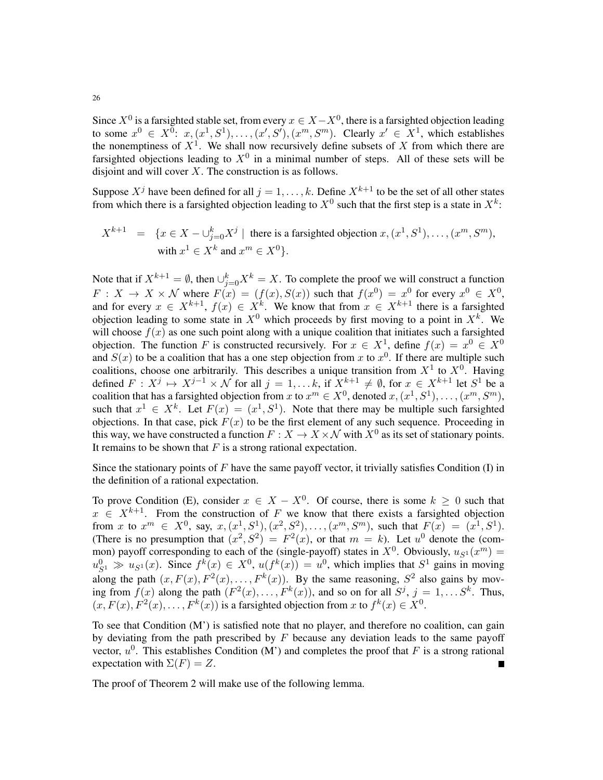Since  $X^0$  is a farsighted stable set, from every  $x \in X - X^0$ , there is a farsighted objection leading to some  $x^0 \in X^0$ :  $x, (x^1, S^1), \ldots, (x', S'), (x^m, S^m)$ . Clearly  $x' \in X^1$ , which establishes the nonemptiness of  $X^1$ . We shall now recursively define subsets of X from which there are farsighted objections leading to  $X^0$  in a minimal number of steps. All of these sets will be disjoint and will cover  $X$ . The construction is as follows.

Suppose  $X^j$  have been defined for all  $j = 1, ..., k$ . Define  $X^{k+1}$  to be the set of all other states from which there is a farsighted objection leading to  $X^0$  such that the first step is a state in  $X^k$ :

$$
X^{k+1} = \{x \in X - \bigcup_{j=0}^{k} X^j \mid \text{there is a farsighted objection } x, (x^1, S^1), \dots, (x^m, S^m),
$$
  
with  $x^1 \in X^k$  and  $x^m \in X^0$ .

Note that if  $X^{k+1} = \emptyset$ , then  $\bigcup_{j=0}^{k} X^{k} = X$ . To complete the proof we will construct a function  $F: X \to X \times \mathcal{N}$  where  $F(x) = (f(x), S(x))$  such that  $f(x^0) = x^0$  for every  $x^0 \in X^0$ , and for every  $x \in X^{k+1}$ ,  $f(x) \in X^k$ . We know that from  $x \in X^{k+1}$  there is a farsighted objection leading to some state in  $X^0$  which proceeds by first moving to a point in  $X^k$ . We will choose  $f(x)$  as one such point along with a unique coalition that initiates such a farsighted objection. The function F is constructed recursively. For  $x \in X^1$ , define  $f(x) = x^0 \in X^0$ and  $S(x)$  to be a coalition that has a one step objection from x to  $x<sup>0</sup>$ . If there are multiple such coalitions, choose one arbitrarily. This describes a unique transition from  $X^1$  to  $X^0$ . Having defined  $F: X^j \mapsto X^{j-1} \times \mathcal{N}$  for all  $j = 1, \dots k$ , if  $X^{k+1} \neq \emptyset$ , for  $x \in X^{k+1}$  let  $S^1$  be a coalition that has a farsighted objection from x to  $x^m \in X^0$ , denoted  $x, (x^1, S^1), \ldots, (x^m, S^m)$ , such that  $x^1 \in X^k$ . Let  $F(x) = (x^1, S^1)$ . Note that there may be multiple such farsighted objections. In that case, pick  $F(x)$  to be the first element of any such sequence. Proceeding in this way, we have constructed a function  $F: X \to X \times N$  with  $X^0$  as its set of stationary points. It remains to be shown that  $F$  is a strong rational expectation.

Since the stationary points of  $F$  have the same payoff vector, it trivially satisfies Condition (I) in the definition of a rational expectation.

To prove Condition (E), consider  $x \in X - X^0$ . Of course, there is some  $k \geq 0$  such that  $x \in X^{k+1}$ . From the construction of F we know that there exists a farsighted objection from x to  $x^m \in X^0$ , say,  $x, (x^1, S^1), (x^2, S^2), \ldots, (x^m, S^m)$ , such that  $F(x) = (x^1, S^1)$ . (There is no presumption that  $(x^2, S^2) = F^2(x)$ , or that  $m = k$ ). Let  $u^0$  denote the (common) payoff corresponding to each of the (single-payoff) states in  $X^0$ . Obviously,  $u_{S^1}(x^m) =$  $u_{S^1}^0 \gg u_{S^1}(x)$ . Since  $f^k(x) \in X^0$ ,  $u(f^k(x)) = u^0$ , which implies that  $S^1$  gains in moving along the path  $(x, F(x), F^2(x), \ldots, F^k(x))$ . By the same reasoning,  $S^2$  also gains by moving from  $f(x)$  along the path  $(F^2(x), \ldots, F^k(x))$ , and so on for all  $S^j$ ,  $j = 1, \ldots S^k$ . Thus,  $(x, F(x), F^2(x), \ldots, F^k(x))$  is a farsighted objection from x to  $f^k(x) \in X^0$ .

To see that Condition (M') is satisfied note that no player, and therefore no coalition, can gain by deviating from the path prescribed by  $F$  because any deviation leads to the same payoff vector,  $u^0$ . This establishes Condition (M') and completes the proof that F is a strong rational expectation with  $\Sigma(F) = Z$ .

The proof of Theorem 2 will make use of the following lemma.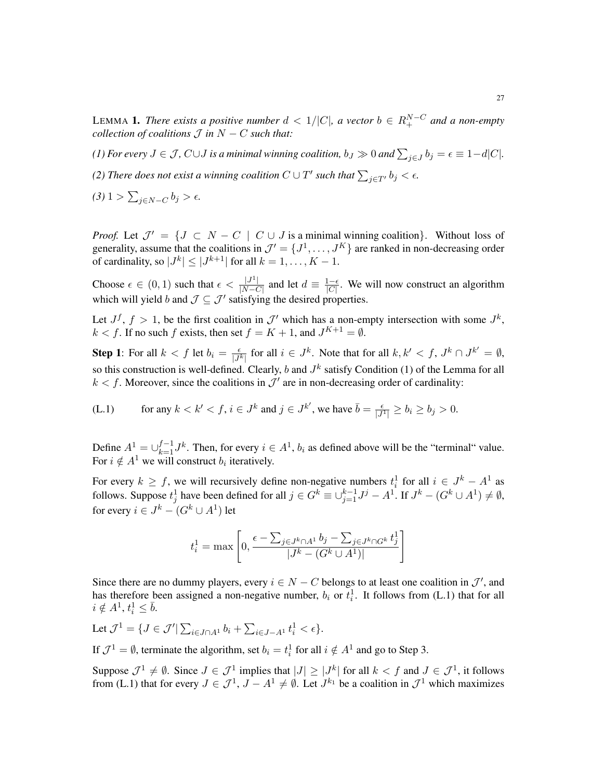LEMMA 1. *There exists a positive number*  $d < 1/|C|$ , a vector  $b \in R_+^{N-C}$  and a non-empty *collection of coalitions*  $\mathcal{J}$  *in*  $N - C$  *such that:* 

*(1) For every*  $J \in \mathcal{J}$ ,  $C \cup J$  *is a minimal winning coalition,*  $b_J \gg 0$  *and*  $\sum_{j \in J} b_j = \epsilon \equiv 1 - d|C|$ *.* 

- *(2) There does not exist a winning coalition*  $C \cup T'$  such that  $\sum_{j \in T'} b_j < \epsilon$ .
- $(3)$  1 >  $\sum_{j \in N C} b_j$  >  $\epsilon$ *.*

*Proof.* Let  $\mathcal{J}' = \{J \subset N - C \mid C \cup J \text{ is a minimal winning coalition}\}\$ . Without loss of generality, assume that the coalitions in  $\mathcal{J}' = \{J^1, \ldots, J^K\}$  are ranked in non-decreasing order of cardinality, so  $|J^k| \leq |J^{k+1}|$  for all  $k = 1, \ldots, K - 1$ .

Choose  $\epsilon \in (0,1)$  such that  $\epsilon < \frac{J^1}{N}$  $\frac{|J^1|}{|N-C|}$  and let  $d \equiv \frac{1-\epsilon}{|C|}$  $\frac{1-\epsilon}{|C|}$ . We will now construct an algorithm which will yield b and  $\mathcal{J} \subseteq \mathcal{J}'$  satisfying the desired properties.

Let  $J^f$ ,  $f > 1$ , be the first coalition in  $J'$  which has a non-empty intersection with some  $J^k$ ,  $k < f$ . If no such f exists, then set  $f = K + 1$ , and  $J^{K+1} = \emptyset$ .

**Step 1**: For all  $k < f$  let  $b_i = \frac{\epsilon}{|J^k|}$  for all  $i \in J^k$ . Note that for all  $k, k' < f$ ,  $J^k \cap J^{k'} = \emptyset$ , so this construction is well-defined. Clearly, b and  $J<sup>k</sup>$  satisfy Condition (1) of the Lemma for all  $k < f$ . Moreover, since the coalitions in  $\mathcal{J}'$  are in non-decreasing order of cardinality:

(L.1) for any  $k < k' < f$ ,  $i \in J^k$  and  $j \in J^{k'}$ , we have  $\overline{b} = \frac{\epsilon}{|J^1|} \ge b_i \ge b_j > 0$ .

Define  $A^1 = \bigcup_{k=1}^{f-1} J^k$ . Then, for every  $i \in A^1$ ,  $b_i$  as defined above will be the "terminal" value. For  $i \notin A^1$  we will construct  $b_i$  iteratively.

For every  $k \ge f$ , we will recursively define non-negative numbers  $t_i^1$  for all  $i \in J^k - A^1$  as follows. Suppose  $t_j^1$  have been defined for all  $j \in G^k \equiv \cup_{j=1}^{k-1} J^j - A^1$ . If  $J^k - (G^k \cup A^1) \neq \emptyset$ , for every  $i \in J^k - (G^k \cup A^1)$  let

$$
t_i^1 = \max\left[0, \frac{\epsilon - \sum_{j \in J^k \cap A^1} b_j - \sum_{j \in J^k \cap G^k} t_j^1}{|J^k - (G^k \cup A^1)|}\right]
$$

Since there are no dummy players, every  $i \in N - C$  belongs to at least one coalition in  $\mathcal{J}'$ , and has therefore been assigned a non-negative number,  $b_i$  or  $t_i^1$ . It follows from (L.1) that for all  $i \notin A^1, t_i^1 \leq \overline{b}.$ 

Let  $\mathcal{J}^1 = \{ J \in \mathcal{J}' | \sum_{i \in J \cap A^1} b_i + \sum_{i \in J - A^1} t_i^1 < \epsilon \}.$ 

If  $\mathcal{J}^1 = \emptyset$ , terminate the algorithm, set  $b_i = t_i^1$  for all  $i \notin A^1$  and go to Step 3.

Suppose  $\mathcal{J}^1 \neq \emptyset$ . Since  $J \in \mathcal{J}^1$  implies that  $|J| \geq |J^k|$  for all  $k < f$  and  $J \in \mathcal{J}^1$ , it follows from (L.1) that for every  $J \in \mathcal{J}^1$ ,  $J - A^1 \neq \emptyset$ . Let  $J^{k_1}$  be a coalition in  $\mathcal{J}^1$  which maximizes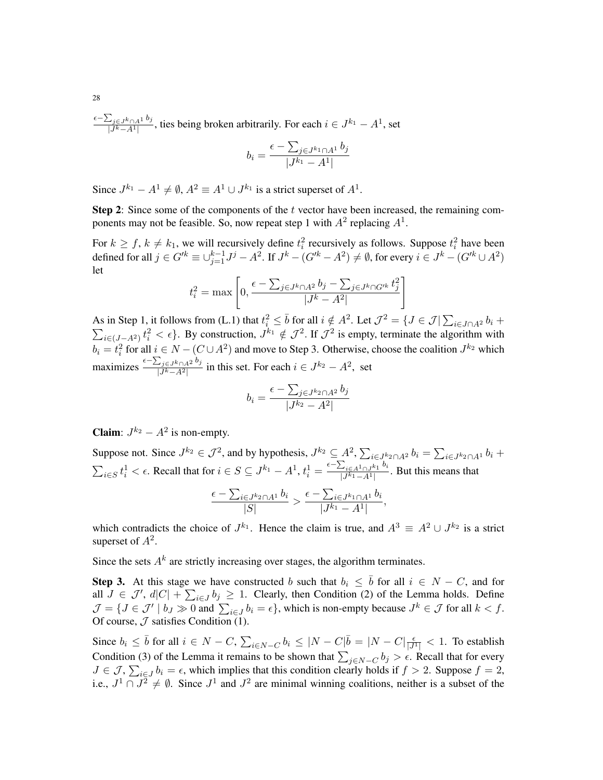$\epsilon-\sum_{j\in J}^k \epsilon_{\cap A}$ <sup>1</sup> b<sub>j</sub>  $\frac{\sum_{j \in J^k \cap A^1} u_j}{|J^k - A^1|}$ , ties being broken arbitrarily. For each  $i \in J^{k_1} - A^1$ , set

$$
b_i = \frac{\epsilon - \sum_{j \in J^{k_1} \cap A^1} b_j}{|J^{k_1} - A^1|}
$$

Since  $J^{k_1} - A^1 \neq \emptyset$ ,  $A^2 \equiv A^1 \cup J^{k_1}$  is a strict superset of  $A^1$ .

**Step 2:** Since some of the components of the t vector have been increased, the remaining components may not be feasible. So, now repeat step 1 with  $A^2$  replacing  $A^1$ .

For  $k \geq f$ ,  $k \neq k_1$ , we will recursively define  $t_i^2$  recursively as follows. Suppose  $t_i^2$  have been defined for all  $j \in G'^k \equiv \cup_{j=1}^{k-1} J^j - A^2$ . If  $J^k - (G'^k - A^2) \neq \emptyset$ , for every  $i \in J^k - (G'^k \cup A^2)$ let

$$
t_i^2 = \max\left[0, \frac{\epsilon - \sum_{j \in J^k \cap A^2} b_j - \sum_{j \in J^k \cap G'^k} t_j^2}{|J^k - A^2|}\right]
$$

As in Step 1, it follows from (L.1) that  $t_i^2 \leq \bar{b}$  for all  $i \notin A^2$ . Let  $\mathcal{J}^2 = \{J \in \mathcal{J} | \sum_{i \in J \cap A^2} b_i +$  $\sum_{i\in (J-A^2)} t_i^2 < \epsilon$ . By construction,  $J^{k_1} \notin \mathcal{J}^2$ . If  $\mathcal{J}^2$  is empty, terminate the algorithm with  $b_i = t_i^2$  for all  $i \in N - (C \cup A^2)$  and move to Step 3. Otherwise, choose the coalition  $J^{k_2}$  which maximizes  $\frac{\epsilon - \sum_{j \in J^k \cap A^2} b_j}{|I^k - A^2|}$  $\frac{(-j \in J^k \cap A^2}{|J^k - A^2|}$  in this set. For each  $i \in J^{k_2} - A^2$ , set

$$
b_i = \frac{\epsilon - \sum_{j \in J^{k_2} \cap A^2} b_j}{|J^{k_2} - A^2|}
$$

**Claim**:  $J^{k_2} - A^2$  is non-empty.

Suppose not. Since  $J^{k_2} \in \mathcal{J}^2$ , and by hypothesis,  $J^{k_2} \subseteq A^2$ ,  $\sum_{i \in J^{k_2} \cap A^2} b_i = \sum_{i \in J^{k_2} \cap A^1} b_i +$  $\sum_{i \in S} t_i^1 < \epsilon$ . Recall that for  $i \in S \subseteq J^{k_1} - A^1$ ,  $t_i^1 = \frac{\epsilon - \sum_{i \in A^1 \cap J^{k_1}} b_i}{|J^{k_1} - A^1|}$  $\frac{\sum_{i\in A^1\cap J^{k_1}\circ i}}{|J^{k_1}-A^1|}$ . But this means that

$$
\frac{\epsilon - \sum_{i \in J^{k_2} \cap A^1} b_i}{|S|} > \frac{\epsilon - \sum_{i \in J^{k_1} \cap A^1} b_i}{|J^{k_1} - A^1|},
$$

which contradicts the choice of  $J^{k_1}$ . Hence the claim is true, and  $A^3 \equiv A^2 \cup J^{k_2}$  is a strict superset of  $A^2$ .

Since the sets  $A<sup>k</sup>$  are strictly increasing over stages, the algorithm terminates.

**Step 3.** At this stage we have constructed b such that  $b_i \leq \bar{b}$  for all  $i \in N - C$ , and for all  $J \in \mathcal{J}'$ ,  $d|C| + \sum_{i \in J} b_i \geq 1$ . Clearly, then Condition (2) of the Lemma holds. Define  $\mathcal{J} = \{J \in \mathcal{J}' \mid b_J \gg 0 \text{ and } \sum_{i \in J} b_i = \epsilon\},\$  which is non-empty because  $J^k \in \mathcal{J}$  for all  $k < f$ . Of course,  $J$  satisfies Condition (1).

Since  $b_i \leq \bar{b}$  for all  $i \in N - C$ ,  $\sum_{i \in N - C} b_i \leq |N - C|\bar{b} = |N - C|\frac{\epsilon}{|J^1|} < 1$ . To establish Condition (3) of the Lemma it remains to be shown that  $\sum_{j \in N-C} b_j > \epsilon$ . Recall that for every  $J \in \mathcal{J}, \sum_{i \in J} b_i = \epsilon$ , which implies that this condition clearly holds if  $f > 2$ . Suppose  $f = 2$ , i.e.,  $J^1 \cap J^2 \neq \emptyset$ . Since  $J^1$  and  $J^2$  are minimal winning coalitions, neither is a subset of the

28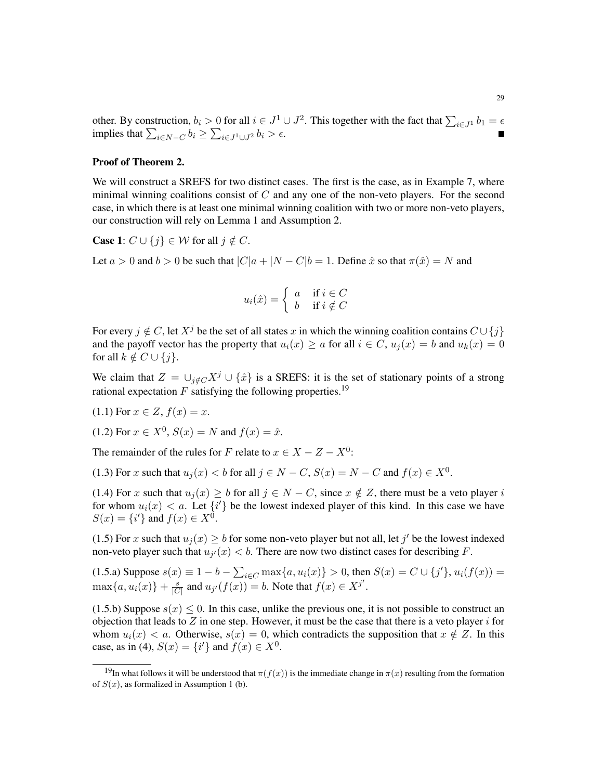other. By construction,  $b_i > 0$  for all  $i \in J^1 \cup J^2$ . This together with the fact that  $\sum_{i \in J^1} b_i = \epsilon$ implies that  $\sum_{i \in N-C} b_i \ge \sum_{i \in J^1 \cup J^2} b_i > \epsilon$ .

# Proof of Theorem 2.

We will construct a SREFS for two distinct cases. The first is the case, as in Example 7, where minimal winning coalitions consist of  $C$  and any one of the non-veto players. For the second case, in which there is at least one minimal winning coalition with two or more non-veto players, our construction will rely on Lemma 1 and Assumption 2.

**Case 1:**  $C \cup \{j\} \in \mathcal{W}$  for all  $j \notin C$ .

Let  $a > 0$  and  $b > 0$  be such that  $|C|a + |N - C|b = 1$ . Define  $\hat{x}$  so that  $\pi(\hat{x}) = N$  and

$$
u_i(\hat{x}) = \begin{cases} a & \text{if } i \in C \\ b & \text{if } i \notin C \end{cases}
$$

For every  $j \notin C$ , let  $X^j$  be the set of all states x in which the winning coalition contains  $C \cup \{j\}$ and the payoff vector has the property that  $u_i(x) \ge a$  for all  $i \in C$ ,  $u_i(x) = b$  and  $u_k(x) = 0$ for all  $k \notin C \cup \{j\}.$ 

We claim that  $Z = \bigcup_{j \notin C} X^j \cup \{\hat{x}\}$  is a SREFS: it is the set of stationary points of a strong rational expectation  $F$  satisfying the following properties.<sup>19</sup>

$$
(1.1)
$$
 For  $x \in Z$ ,  $f(x) = x$ .

(1.2) For  $x \in X^0$ ,  $S(x) = N$  and  $f(x) = \hat{x}$ .

The remainder of the rules for F relate to  $x \in X - Z - X^0$ :

(1.3) For x such that  $u_j(x) < b$  for all  $j \in N - C$ ,  $S(x) = N - C$  and  $f(x) \in X^0$ .

(1.4) For x such that  $u_i(x) \geq b$  for all  $j \in N - C$ , since  $x \notin Z$ , there must be a veto player i for whom  $u_i(x) < a$ . Let  $\{i'\}$  be the lowest indexed player of this kind. In this case we have  $S(x) = \{i'\}\$ and  $f(x) \in X^0$ .

(1.5) For x such that  $u_j(x) \ge b$  for some non-veto player but not all, let j' be the lowest indexed non-veto player such that  $u_{j'}(x) < b$ . There are now two distinct cases for describing F.

(1.5.a) Suppose  $s(x) \equiv 1 - b - \sum_{i \in C} \max\{a, u_i(x)\} > 0$ , then  $S(x) = C \cup \{j'\}, u_i(f(x)) =$  $\max\{a, u_i(x)\} + \frac{s}{|G|}$  $\frac{s}{|C|}$  and  $u_{j'}(f(x)) = b$ . Note that  $f(x) \in X^{j'}$ .

(1.5.b) Suppose  $s(x) \leq 0$ . In this case, unlike the previous one, it is not possible to construct an objection that leads to  $Z$  in one step. However, it must be the case that there is a veto player i for whom  $u_i(x) < a$ . Otherwise,  $s(x) = 0$ , which contradicts the supposition that  $x \notin Z$ . In this case, as in (4),  $S(x) = \{i'\}$  and  $f(x) \in X^0$ .

<sup>&</sup>lt;sup>19</sup>In what follows it will be understood that  $\pi(f(x))$  is the immediate change in  $\pi(x)$  resulting from the formation of  $S(x)$ , as formalized in Assumption 1 (b).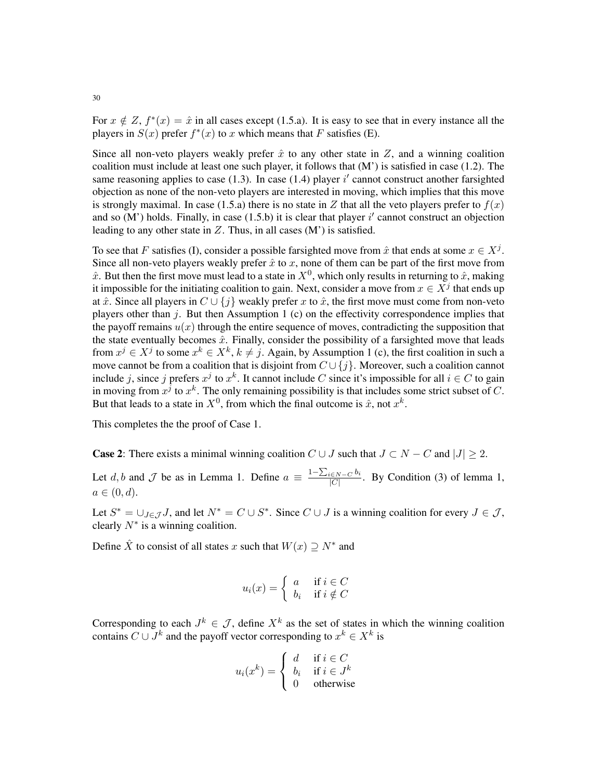For  $x \notin Z$ ,  $f^*(x) = \hat{x}$  in all cases except (1.5.a). It is easy to see that in every instance all the players in  $S(x)$  prefer  $f^*(x)$  to x which means that F satisfies (E).

Since all non-veto players weakly prefer  $\hat{x}$  to any other state in Z, and a winning coalition coalition must include at least one such player, it follows that  $(M')$  is satisfied in case (1.2). The same reasoning applies to case (1.3). In case (1.4) player  $i'$  cannot construct another farsighted objection as none of the non-veto players are interested in moving, which implies that this move is strongly maximal. In case (1.5.a) there is no state in Z that all the veto players prefer to  $f(x)$ and so  $(M')$  holds. Finally, in case  $(1.5.b)$  it is clear that player  $i'$  cannot construct an objection leading to any other state in  $Z$ . Thus, in all cases  $(M')$  is satisfied.

To see that F satisfies (I), consider a possible farsighted move from  $\hat{x}$  that ends at some  $x \in X^j$ . Since all non-veto players weakly prefer  $\hat{x}$  to x, none of them can be part of the first move from  $\hat{x}$ . But then the first move must lead to a state in  $X^0$ , which only results in returning to  $\hat{x}$ , making it impossible for the initiating coalition to gain. Next, consider a move from  $x \in X^j$  that ends up at  $\hat{x}$ . Since all players in  $C \cup \{j\}$  weakly prefer x to  $\hat{x}$ , the first move must come from non-veto players other than  $j$ . But then Assumption 1 (c) on the effectivity correspondence implies that the payoff remains  $u(x)$  through the entire sequence of moves, contradicting the supposition that the state eventually becomes  $\hat{x}$ . Finally, consider the possibility of a farsighted move that leads from  $x^j \in X^j$  to some  $x^k \in X^k$ ,  $k \neq j$ . Again, by Assumption 1 (c), the first coalition in such a move cannot be from a coalition that is disjoint from  $C \cup \{j\}$ . Moreover, such a coalition cannot include j, since j prefers  $x^j$  to  $x^k$ . It cannot include C since it's impossible for all  $i \in C$  to gain in moving from  $x^j$  to  $x^k$ . The only remaining possibility is that includes some strict subset of C. But that leads to a state in  $X^0$ , from which the final outcome is  $\hat{x}$ , not  $x^k$ .

This completes the the proof of Case 1.

**Case 2:** There exists a minimal winning coalition  $C \cup J$  such that  $J \subset N - C$  and  $|J| \geq 2$ .

Let d, b and J be as in Lemma 1. Define  $a \equiv \frac{1 - \sum_{i \in N - C} b_i}{|C|}$  $\frac{\partial [E(N-C)]}{|C|}$ . By Condition (3) of lemma 1,  $a \in (0, d)$ .

Let  $S^* = \bigcup_{J \in \mathcal{J}} J$ , and let  $N^* = C \cup S^*$ . Since  $C \cup J$  is a winning coalition for every  $J \in \mathcal{J}$ , clearly  $N^*$  is a winning coalition.

Define  $\hat{X}$  to consist of all states x such that  $W(x) \supseteq N^*$  and

$$
u_i(x) = \begin{cases} a & \text{if } i \in C \\ b_i & \text{if } i \notin C \end{cases}
$$

Corresponding to each  $J^k \in \mathcal{J}$ , define  $X^k$  as the set of states in which the winning coalition contains  $C \cup J^k$  and the payoff vector corresponding to  $x^k \in X^k$  is

$$
u_i(x^k) = \begin{cases} d & \text{if } i \in C \\ b_i & \text{if } i \in J^k \\ 0 & \text{otherwise} \end{cases}
$$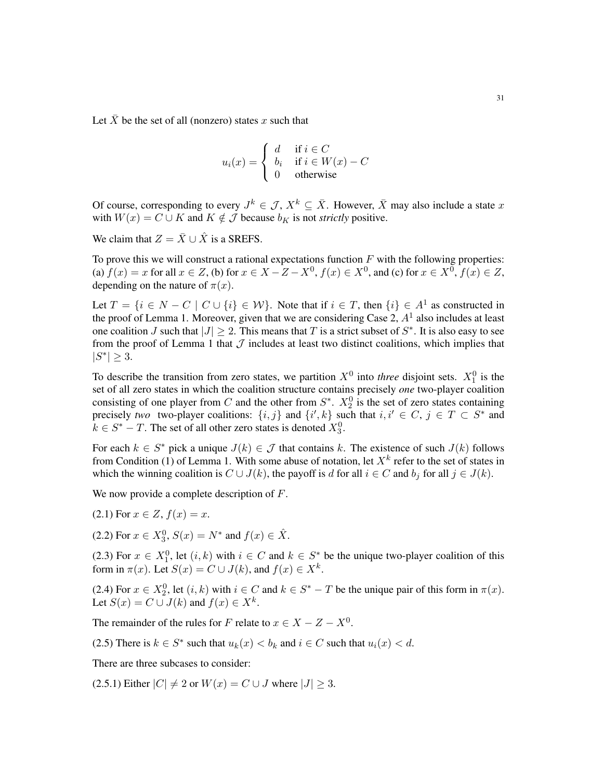Let  $\bar{X}$  be the set of all (nonzero) states x such that

$$
u_i(x) = \begin{cases} d & \text{if } i \in C \\ b_i & \text{if } i \in W(x) - C \\ 0 & \text{otherwise} \end{cases}
$$

Of course, corresponding to every  $J^k \in \mathcal{J}$ ,  $X^k \subseteq \overline{X}$ . However,  $\overline{X}$  may also include a state x with  $W(x) = C \cup K$  and  $K \notin \mathcal{J}$  because  $b_K$  is not *strictly* positive.

We claim that  $Z = \overline{X} \cup \hat{X}$  is a SREFS.

To prove this we will construct a rational expectations function  $F$  with the following properties: (a)  $f(x) = x$  for all  $x \in Z$ , (b) for  $x \in X - Z - X^0$ ,  $f(x) \in X^0$ , and (c) for  $x \in X^0$ ,  $f(x) \in Z$ , depending on the nature of  $\pi(x)$ .

Let  $T = \{i \in N - C \mid C \cup \{i\} \in W\}$ . Note that if  $i \in T$ , then  $\{i\} \in A^1$  as constructed in the proof of Lemma 1. Moreover, given that we are considering Case 2,  $A<sup>1</sup>$  also includes at least one coalition J such that  $|J| \geq 2$ . This means that T is a strict subset of  $S^*$ . It is also easy to see from the proof of Lemma 1 that  $J$  includes at least two distinct coalitions, which implies that  $|S^*| \ge 3.$ 

To describe the transition from zero states, we partition  $X^0$  into *three* disjoint sets.  $X_1^0$  is the set of all zero states in which the coalition structure contains precisely *one* two-player coalition consisting of one player from C and the other from  $S^*$ .  $X_2^0$  is the set of zero states containing precisely *two* two-player coalitions:  $\{i, j\}$  and  $\{i', k\}$  such that  $i, i' \in C, j \in T \subset S^*$  and  $k \in S^* - T$ . The set of all other zero states is denoted  $X_3^0$ .

For each  $k \in S^*$  pick a unique  $J(k) \in \mathcal{J}$  that contains k. The existence of such  $J(k)$  follows from Condition (1) of Lemma 1. With some abuse of notation, let  $X^k$  refer to the set of states in which the winning coalition is  $C \cup J(k)$ , the payoff is d for all  $i \in C$  and  $b_j$  for all  $j \in J(k)$ .

We now provide a complete description of F.

$$
(2.1)
$$
 For  $x \in Z$ ,  $f(x) = x$ .

(2.2) For  $x \in X_3^0$ ,  $S(x) = N^*$  and  $f(x) \in \hat{X}$ .

(2.3) For  $x \in X_1^0$ , let  $(i, k)$  with  $i \in C$  and  $k \in S^*$  be the unique two-player coalition of this form in  $\pi(x)$ . Let  $S(x) = C \cup J(k)$ , and  $f(x) \in X^k$ .

(2.4) For  $x \in X_2^0$ , let  $(i, k)$  with  $i \in C$  and  $k \in S^* - T$  be the unique pair of this form in  $\pi(x)$ . Let  $S(x) = C \cup J(k)$  and  $f(x) \in X^k$ .

The remainder of the rules for F relate to  $x \in X - Z - X^0$ .

(2.5) There is  $k \in S^*$  such that  $u_k(x) < b_k$  and  $i \in C$  such that  $u_i(x) < d$ .

There are three subcases to consider:

 $(2.5.1)$  Either  $|C| \neq 2$  or  $W(x) = C \cup J$  where  $|J| > 3$ .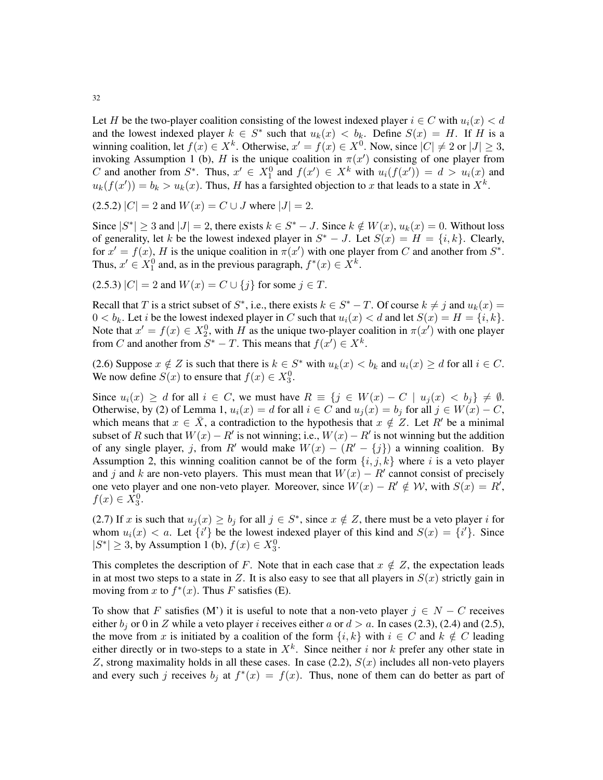Let H be the two-player coalition consisting of the lowest indexed player  $i \in C$  with  $u_i(x) < d$ and the lowest indexed player  $k \in S^*$  such that  $u_k(x) < b_k$ . Define  $S(x) = H$ . If H is a winning coalition, let  $f(x) \in X^k$ . Otherwise,  $x' = f(x) \in X^0$ . Now, since  $|C| \neq 2$  or  $|J| \geq 3$ , invoking Assumption 1 (b), H is the unique coalition in  $\pi(x')$  consisting of one player from C and another from  $S^*$ . Thus,  $x' \in X_1^0$  and  $f(x') \in X^k$  with  $u_i(f(x')) = d > u_i(x)$  and  $u_k(f(x')) = b_k > u_k(x)$ . Thus, H has a farsighted objection to x that leads to a state in  $X^k$ .

(2.5.2)  $|C| = 2$  and  $W(x) = C \cup J$  where  $|J| = 2$ .

Since  $|S^*| \ge 3$  and  $|J| = 2$ , there exists  $k \in S^* - J$ . Since  $k \notin W(x)$ ,  $u_k(x) = 0$ . Without loss of generality, let k be the lowest indexed player in  $S^* - J$ . Let  $S(x) = H = \{i, k\}$ . Clearly, for  $x' = f(x)$ , H is the unique coalition in  $\pi(x')$  with one player from C and another from  $S^*$ . Thus,  $x' \in X_1^0$  and, as in the previous paragraph,  $f^*(x) \in X^k$ .

(2.5.3)  $|C| = 2$  and  $W(x) = C \cup \{j\}$  for some  $j \in T$ .

Recall that T is a strict subset of  $S^*$ , i.e., there exists  $k \in S^* - T$ . Of course  $k \neq j$  and  $u_k(x) =$  $0 < b_k$ . Let *i* be the lowest indexed player in C such that  $u_i(x) < d$  and let  $S(x) = H = \{i, k\}$ . Note that  $x' = f(x) \in X_2^0$ , with H as the unique two-player coalition in  $\pi(x')$  with one player from C and another from  $S^* - T$ . This means that  $f(x') \in X^k$ .

(2.6) Suppose  $x \notin Z$  is such that there is  $k \in S^*$  with  $u_k(x) < b_k$  and  $u_i(x) \ge d$  for all  $i \in C$ . We now define  $S(x)$  to ensure that  $f(x) \in X_3^0$ .

Since  $u_i(x) \ge d$  for all  $i \in C$ , we must have  $R \equiv \{j \in W(x) - C \mid u_j(x) < b_j\} \ne \emptyset$ . Otherwise, by (2) of Lemma 1,  $u_i(x) = d$  for all  $i \in C$  and  $u_j(x) = b_j$  for all  $j \in W(x) - C$ , which means that  $x \in \overline{X}$ , a contradiction to the hypothesis that  $x \notin Z$ . Let R' be a minimal subset of R such that  $W(x) - R'$  is not winning; i.e.,  $W(x) - R'$  is not winning but the addition of any single player, j, from R' would make  $W(x) - (R' - \{j\})$  a winning coalition. By Assumption 2, this winning coalition cannot be of the form  $\{i, j, k\}$  where i is a veto player and j and k are non-veto players. This must mean that  $W(x) - R'$  cannot consist of precisely one veto player and one non-veto player. Moreover, since  $W(x) - R' \notin W$ , with  $S(x) = R'$ ,  $f(x) \in X_3^0$ .

(2.7) If x is such that  $u_j(x) \ge b_j$  for all  $j \in S^*$ , since  $x \notin Z$ , there must be a veto player i for whom  $u_i(x) < a$ . Let  $\{i'\}$  be the lowest indexed player of this kind and  $S(x) = \{i'\}$ . Since  $|S^*| \ge 3$ , by Assumption 1 (b),  $f(x) \in X_3^0$ .

This completes the description of F. Note that in each case that  $x \notin Z$ , the expectation leads in at most two steps to a state in Z. It is also easy to see that all players in  $S(x)$  strictly gain in moving from x to  $f^*(x)$ . Thus F satisfies (E).

To show that F satisfies (M') it is useful to note that a non-veto player  $j \in N - C$  receives either  $b_j$  or 0 in Z while a veto player *i* receives either a or  $d > a$ . In cases (2.3), (2.4) and (2.5), the move from x is initiated by a coalition of the form  $\{i, k\}$  with  $i \in C$  and  $k \notin C$  leading either directly or in two-steps to a state in  $X<sup>k</sup>$ . Since neither i nor k prefer any other state in Z, strong maximality holds in all these cases. In case (2.2),  $S(x)$  includes all non-veto players and every such j receives  $b_j$  at  $f^*(x) = f(x)$ . Thus, none of them can do better as part of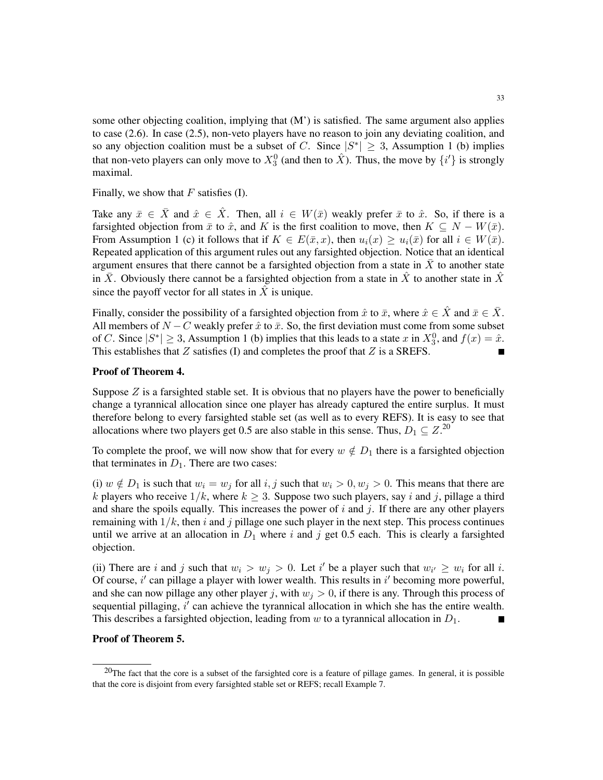some other objecting coalition, implying that  $(M')$  is satisfied. The same argument also applies to case (2.6). In case (2.5), non-veto players have no reason to join any deviating coalition, and so any objection coalition must be a subset of C. Since  $|S^*| \geq 3$ , Assumption 1 (b) implies that non-veto players can only move to  $X_3^0$  (and then to  $\hat{X}$ ). Thus, the move by  $\{i'\}$  is strongly maximal.

Finally, we show that  $F$  satisfies (I).

Take any  $\bar{x} \in \bar{X}$  and  $\hat{x} \in \hat{X}$ . Then, all  $i \in W(\bar{x})$  weakly prefer  $\bar{x}$  to  $\hat{x}$ . So, if there is a farsighted objection from  $\bar{x}$  to  $\hat{x}$ , and K is the first coalition to move, then  $K \subseteq N - W(\bar{x})$ . From Assumption 1 (c) it follows that if  $K \in E(\bar{x}, x)$ , then  $u_i(x) \geq u_i(\bar{x})$  for all  $i \in W(\bar{x})$ . Repeated application of this argument rules out any farsighted objection. Notice that an identical argument ensures that there cannot be a farsighted objection from a state in  $\bar{X}$  to another state in X. Obviously there cannot be a farsighted objection from a state in  $\hat{X}$  to another state in  $\hat{X}$ since the payoff vector for all states in  $\hat{X}$  is unique.

Finally, consider the possibility of a farsighted objection from  $\hat{x}$  to  $\bar{x}$ , where  $\hat{x} \in \hat{X}$  and  $\bar{x} \in \bar{X}$ . All members of  $N - C$  weakly prefer  $\hat{x}$  to  $\bar{x}$ . So, the first deviation must come from some subset of C. Since  $|S^*| \ge 3$ , Assumption 1 (b) implies that this leads to a state x in  $X_3^0$ , and  $f(x) = \hat{x}$ . This establishes that  $Z$  satisfies (I) and completes the proof that  $Z$  is a SREFS.  $\blacksquare$ 

# Proof of Theorem 4.

Suppose  $Z$  is a farsighted stable set. It is obvious that no players have the power to beneficially change a tyrannical allocation since one player has already captured the entire surplus. It must therefore belong to every farsighted stable set (as well as to every REFS). It is easy to see that allocations where two players get 0.5 are also stable in this sense. Thus,  $D_1 \subseteq Z$ .<sup>20</sup>

To complete the proof, we will now show that for every  $w \notin D_1$  there is a farsighted objection that terminates in  $D_1$ . There are two cases:

(i)  $w \notin D_1$  is such that  $w_i = w_j$  for all  $i, j$  such that  $w_i > 0, w_j > 0$ . This means that there are k players who receive  $1/k$ , where  $k \geq 3$ . Suppose two such players, say i and j, pillage a third and share the spoils equally. This increases the power of  $i$  and  $j$ . If there are any other players remaining with  $1/k$ , then i and j pillage one such player in the next step. This process continues until we arrive at an allocation in  $D_1$  where i and j get 0.5 each. This is clearly a farsighted objection.

(ii) There are i and j such that  $w_i > w_j > 0$ . Let i' be a player such that  $w_{i'} \ge w_i$  for all i. Of course,  $i'$  can pillage a player with lower wealth. This results in  $i'$  becoming more powerful, and she can now pillage any other player j, with  $w_j > 0$ , if there is any. Through this process of sequential pillaging,  $i'$  can achieve the tyrannical allocation in which she has the entire wealth. This describes a farsighted objection, leading from  $w$  to a tyrannical allocation in  $D_1$ . Г

# Proof of Theorem 5.

 $^{20}$ The fact that the core is a subset of the farsighted core is a feature of pillage games. In general, it is possible that the core is disjoint from every farsighted stable set or REFS; recall Example 7.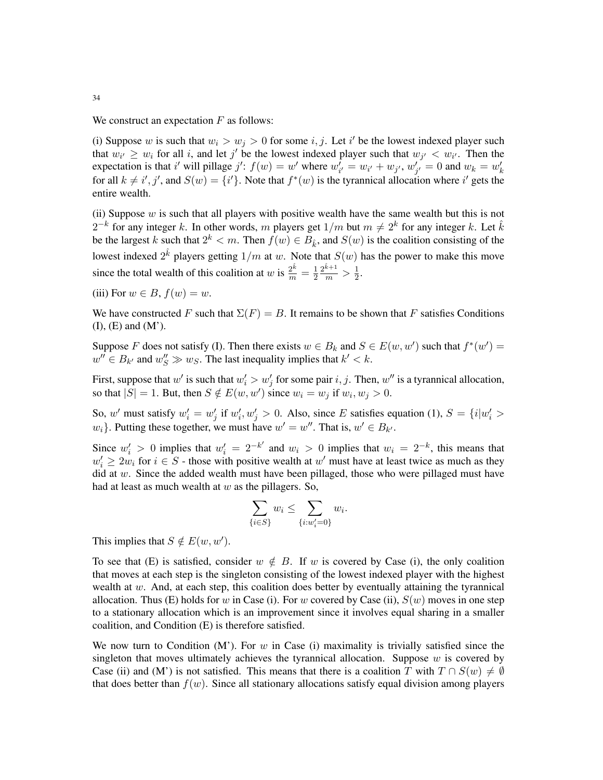#### We construct an expectation  $F$  as follows:

(i) Suppose w is such that  $w_i > w_j > 0$  for some i, j. Let i' be the lowest indexed player such that  $w_{i'} \geq w_i$  for all i, and let j' be the lowest indexed player such that  $w_{j'} < w_{i'}$ . Then the expectation is that i' will pillage j':  $f(w) = w'$  where  $w'_{i'} = w_{i'} + w_{j'}, w'_{j'} = 0$  and  $w_k = w'_k$ for all  $k \neq i', j'$ , and  $S(w) = \{i'\}$ . Note that  $f^*(w)$  is the tyrannical allocation where i' gets the entire wealth.

(ii) Suppose  $w$  is such that all players with positive wealth have the same wealth but this is not  $2^{-k}$  for any integer k. In other words, m players get  $1/m$  but  $m \neq 2^k$  for any integer k. Let  $\hat{k}$ be the largest k such that  $2^k < m$ . Then  $f(w) \in B_{\hat{k}}$ , and  $S(w)$  is the coalition consisting of the lowest indexed  $2^{\hat{k}}$  players getting  $1/m$  at w. Note that  $S(w)$  has the power to make this move since the total wealth of this coalition at w is  $\frac{2^{\hat{k}}}{m} = \frac{1}{2}$ 2  $\frac{2^{\hat{k}+1}}{m} > \frac{1}{2}$  $rac{1}{2}$ .

(iii) For  $w \in B$ ,  $f(w) = w$ .

We have constructed F such that  $\Sigma(F) = B$ . It remains to be shown that F satisfies Conditions (I), (E) and (M').

Suppose F does not satisfy (I). Then there exists  $w \in B_k$  and  $S \in E(w, w')$  such that  $f^*(w') =$  $w'' \in B_{k'}$  and  $w''_S \gg w_S$ . The last inequality implies that  $k' < k$ .

First, suppose that  $w'$  is such that  $w'_i > w'_j$  for some pair  $i, j$ . Then,  $w''$  is a tyrannical allocation, so that  $|S| = 1$ . But, then  $S \notin E(w, w')$  since  $w_i = w_j$  if  $w_i, w_j > 0$ .

So, w' must satisfy  $w'_i = w'_j$  if  $w'_i, w'_j > 0$ . Also, since E satisfies equation (1),  $S = \{i | w'_i > 0\}$  $w_i$ }. Putting these together, we must have  $w' = w''$ . That is,  $w' \in B_{k'}$ .

Since  $w'_i > 0$  implies that  $w'_i = 2^{-k'}$  and  $w_i > 0$  implies that  $w_i = 2^{-k}$ , this means that  $w'_i \ge 2w_i$  for  $i \in S$  - those with positive wealth at w' must have at least twice as much as they did at w. Since the added wealth must have been pillaged, those who were pillaged must have had at least as much wealth at  $w$  as the pillagers. So,

$$
\sum_{\{i \in S\}} w_i \le \sum_{\{i:w'_i=0\}} w_i
$$

.

This implies that  $S \notin E(w, w')$ .

To see that (E) is satisfied, consider  $w \notin B$ . If w is covered by Case (i), the only coalition that moves at each step is the singleton consisting of the lowest indexed player with the highest wealth at  $w$ . And, at each step, this coalition does better by eventually attaining the tyrannical allocation. Thus (E) holds for w in Case (i). For w covered by Case (ii),  $S(w)$  moves in one step to a stationary allocation which is an improvement since it involves equal sharing in a smaller coalition, and Condition (E) is therefore satisfied.

We now turn to Condition (M'). For  $w$  in Case (i) maximality is trivially satisfied since the singleton that moves ultimately achieves the tyrannical allocation. Suppose  $w$  is covered by Case (ii) and (M') is not satisfied. This means that there is a coalition T with  $T \cap S(w) \neq \emptyset$ that does better than  $f(w)$ . Since all stationary allocations satisfy equal division among players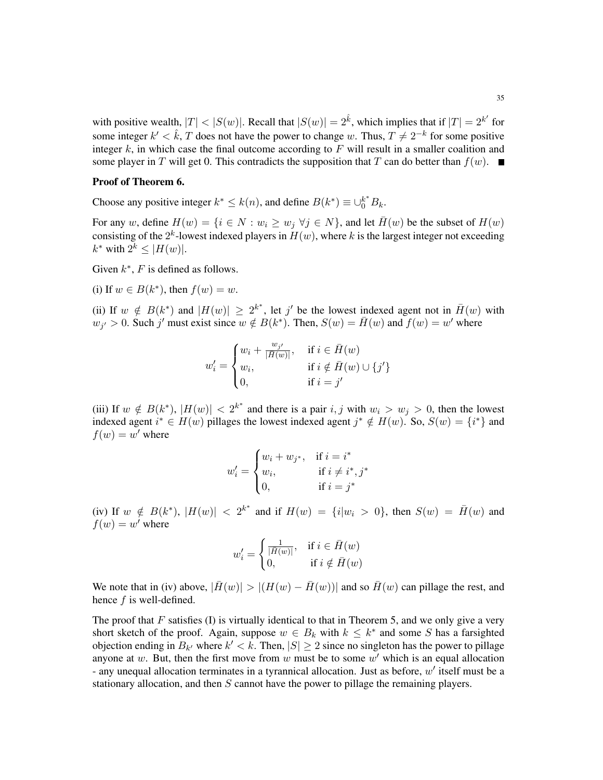with positive wealth,  $|T| < |S(w)|$ . Recall that  $|S(w)| = 2^{\hat{k}}$ , which implies that if  $|T| = 2^{k'}$  for some integer  $k' < \hat{k}$ , T does not have the power to change w. Thus,  $T \neq 2^{-k}$  for some positive integer  $k$ , in which case the final outcome according to  $F$  will result in a smaller coalition and some player in T will get 0. This contradicts the supposition that T can do better than  $f(w)$ .

#### Proof of Theorem 6.

Choose any positive integer  $k^* \leq k(n)$ , and define  $B(k^*) \equiv \bigcup_{k=0}^{k^*} B_k$ .

For any w, define  $H(w) = \{i \in N : w_i \geq w_j \ \forall j \in N\}$ , and let  $\overline{H}(w)$  be the subset of  $H(w)$ consisting of the  $2^k$ -lowest indexed players in  $H(w)$ , where k is the largest integer not exceeding  $k^*$  with  $2^k \leq |H(w)|$ .

Given  $k^*$ , F is defined as follows.

(i) If  $w \in B(k^*)$ , then  $f(w) = w$ .

(ii) If  $w \notin B(k^*)$  and  $|H(w)| \geq 2^{k^*}$ , let j' be the lowest indexed agent not in  $\overline{H}(w)$  with  $w_{j'} > 0$ . Such j' must exist since  $w \notin B(k^*)$ . Then,  $S(w) = \overline{H}(w)$  and  $f(w) = w'$  where

$$
w'_i = \begin{cases} w_i + \frac{w_{j'}}{|\bar{H}(w)|}, & \text{if } i \in \bar{H}(w) \\ w_i, & \text{if } i \notin \bar{H}(w) \cup \{j'\} \\ 0, & \text{if } i = j' \end{cases}
$$

(iii) If  $w \notin B(k^*)$ ,  $|H(w)| < 2^{k^*}$  and there is a pair i, j with  $w_i > w_j > 0$ , then the lowest indexed agent  $i^* \in H(w)$  pillages the lowest indexed agent  $j^* \notin H(w)$ . So,  $S(w) = \{i^*\}$  and  $f(w) = w'$  where

$$
w'_{i} = \begin{cases} w_{i} + w_{j^{*}}, & \text{if } i = i^{*} \\ w_{i}, & \text{if } i \neq i^{*}, j^{*} \\ 0, & \text{if } i = j^{*} \end{cases}
$$

(iv) If  $w \notin B(k^*)$ ,  $|H(w)| < 2^{k^*}$  and if  $H(w) = \{i|w_i > 0\}$ , then  $S(w) = \overline{H}(w)$  and  $f(w) = w'$  where

$$
w'_{i} = \begin{cases} \frac{1}{|\overline{H}(w)|}, & \text{if } i \in \overline{H}(w) \\ 0, & \text{if } i \notin \overline{H}(w) \end{cases}
$$

We note that in (iv) above,  $|\bar{H}(w)| > |(H(w) - \bar{H}(w))|$  and so  $\bar{H}(w)$  can pillage the rest, and hence  $f$  is well-defined.

The proof that  $F$  satisfies (I) is virtually identical to that in Theorem 5, and we only give a very short sketch of the proof. Again, suppose  $w \in B_k$  with  $k \leq k^*$  and some S has a farsighted objection ending in  $B_{k'}$  where  $k' < k$ . Then,  $|S| \ge 2$  since no singleton has the power to pillage anyone at w. But, then the first move from w must be to some  $w'$  which is an equal allocation - any unequal allocation terminates in a tyrannical allocation. Just as before,  $w'$  itself must be a stationary allocation, and then  $S$  cannot have the power to pillage the remaining players.